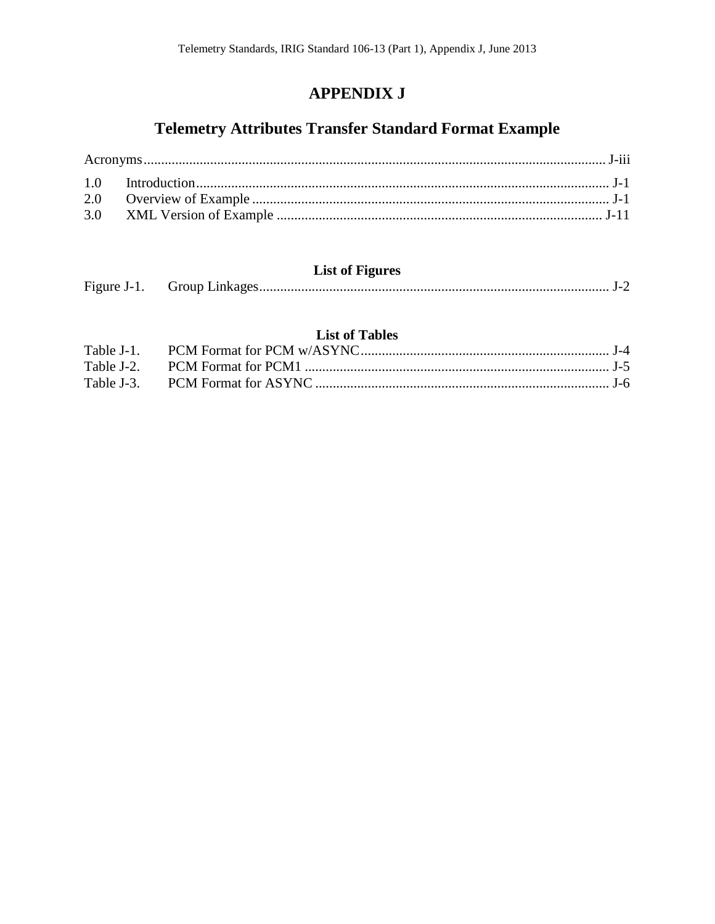# **APPENDIX J**

# **Telemetry Attributes Transfer Standard Format Example**

#### **List of Figures**

| Figure J-1. |  |  |
|-------------|--|--|

#### **List of Tables**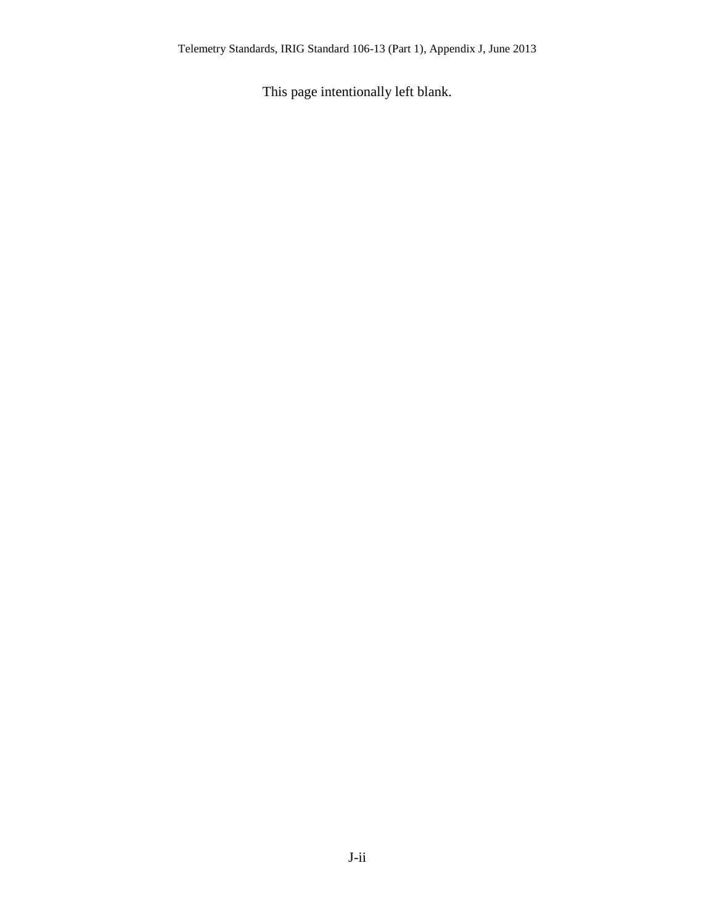This page intentionally left blank.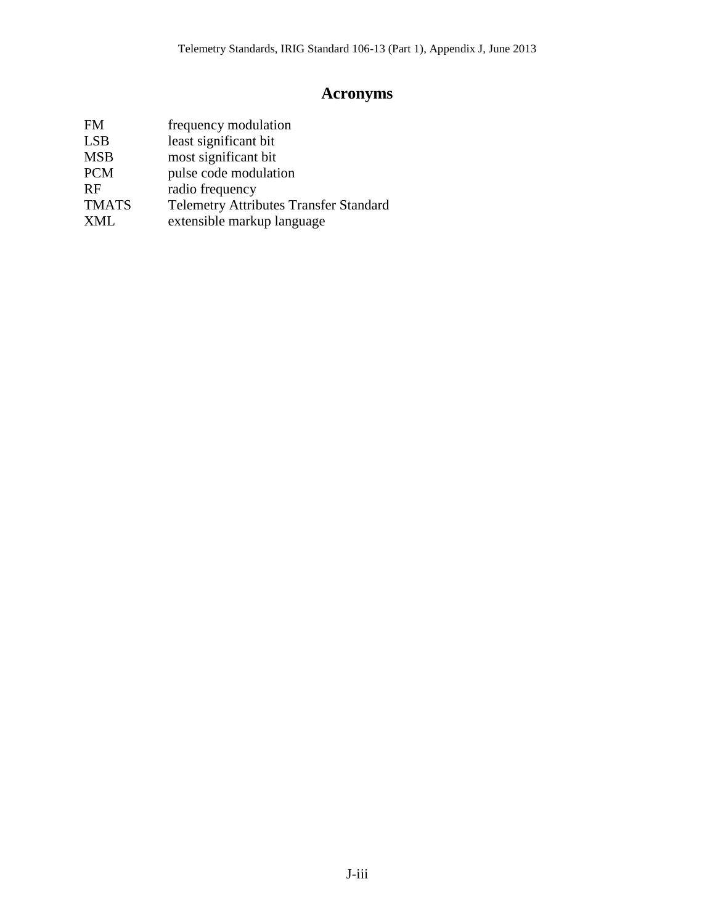# **Acronyms**

<span id="page-2-0"></span>

| FM           | frequency modulation                          |
|--------------|-----------------------------------------------|
| <b>LSB</b>   | least significant bit                         |
| <b>MSB</b>   | most significant bit                          |
| <b>PCM</b>   | pulse code modulation                         |
| RF           | radio frequency                               |
| <b>TMATS</b> | <b>Telemetry Attributes Transfer Standard</b> |
| XML          | extensible markup language                    |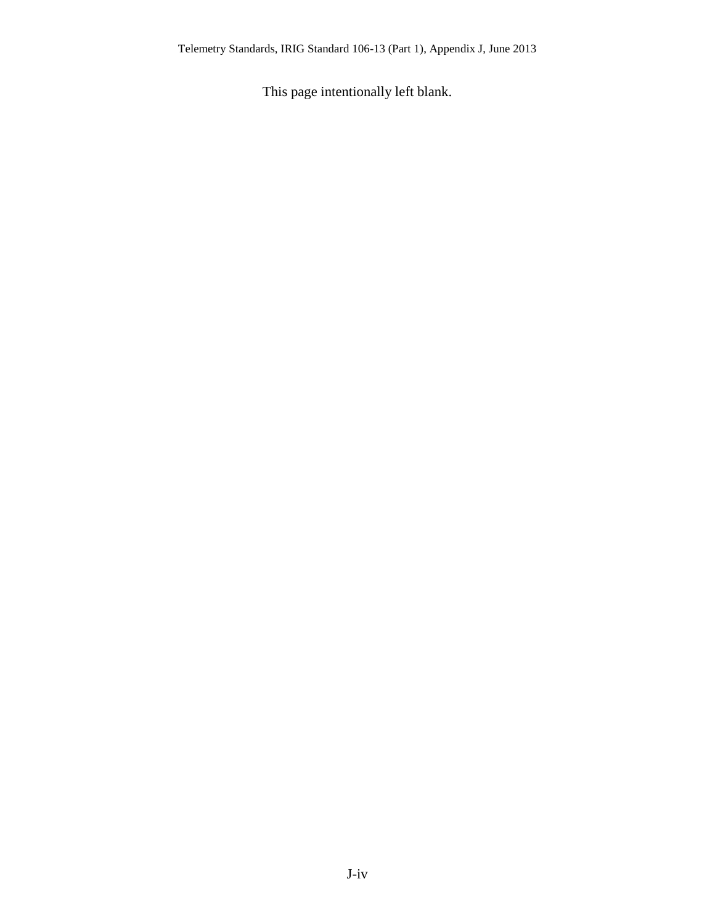This page intentionally left blank.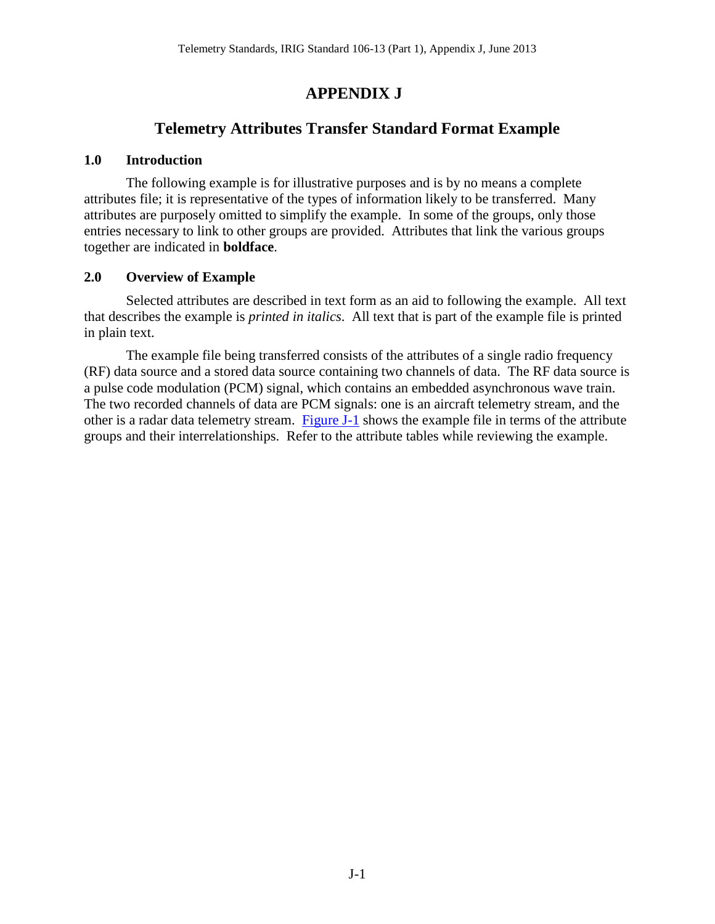# **APPENDIX J**

## **Telemetry Attributes Transfer Standard Format Example**

#### <span id="page-4-0"></span>**1.0 Introduction**

The following example is for illustrative purposes and is by no means a complete attributes file; it is representative of the types of information likely to be transferred. Many attributes are purposely omitted to simplify the example. In some of the groups, only those entries necessary to link to other groups are provided. Attributes that link the various groups together are indicated in **boldface**.

## <span id="page-4-1"></span>**2.0 Overview of Example**

Selected attributes are described in text form as an aid to following the example. All text that describes the example is *printed in italics*. All text that is part of the example file is printed in plain text.

The example file being transferred consists of the attributes of a single radio frequency (RF) data source and a stored data source containing two channels of data. The RF data source is a pulse code modulation (PCM) signal, which contains an embedded asynchronous wave train. The two recorded channels of data are PCM signals: one is an aircraft telemetry stream, and the other is a radar data telemetry stream. [Figure J-1](#page-5-0) shows the example file in terms of the attribute groups and their interrelationships. Refer to the attribute tables while reviewing the example.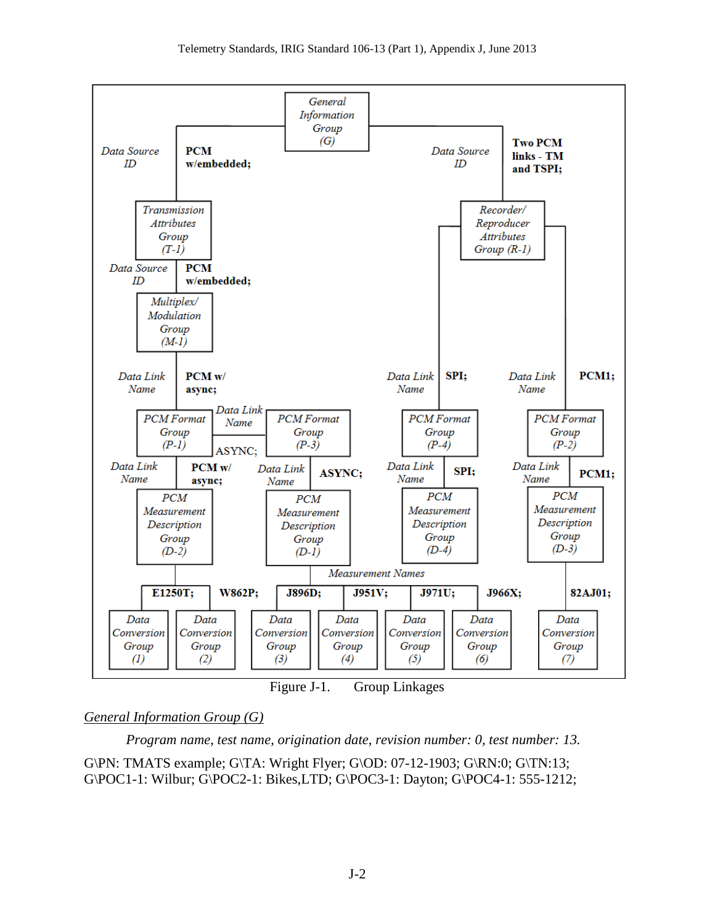

Figure J-1. Group Linkages

<span id="page-5-0"></span>*General Information Group (G)*

*Program name, test name, origination date, revision number: 0, test number: 13.* G\PN: TMATS example; G\TA: Wright Flyer; G\OD: 07-12-1903; G\RN:0; G\TN:13; G\POC1-1: Wilbur; G\POC2-1: Bikes,LTD; G\POC3-1: Dayton; G\POC4-1: 555-1212;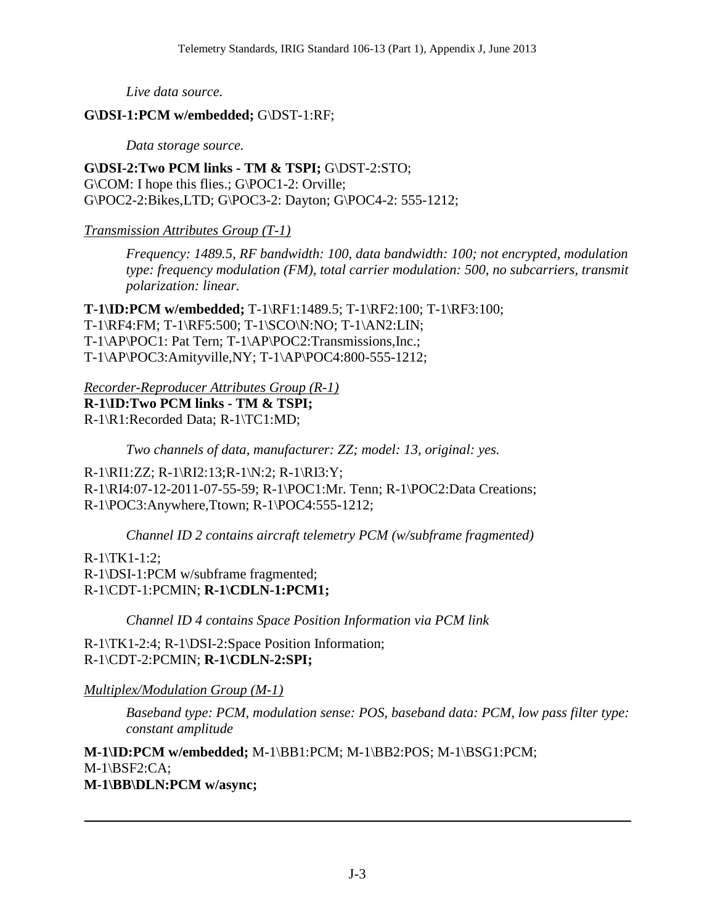*Live data source.*

### **G\DSI-1:PCM w/embedded;** G\DST-1:RF;

*Data storage source.*

**G\DSI-2:Two PCM links - TM & TSPI;** G\DST-2:STO; G\COM: I hope this flies.; G\POC1-2: Orville; G\POC2-2:Bikes,LTD; G\POC3-2: Dayton; G\POC4-2: 555-1212;

### *Transmission Attributes Group (T-1)*

*Frequency: 1489.5, RF bandwidth: 100, data bandwidth: 100; not encrypted, modulation type: frequency modulation (FM), total carrier modulation: 500, no subcarriers, transmit polarization: linear.*

**T-1\ID:PCM w/embedded;** T-1\RF1:1489.5; T-1\RF2:100; T-1\RF3:100; T-1\RF4:FM; T-1\RF5:500; T-1\SCO\N:NO; T-1\AN2:LIN; T-1\AP\POC1: Pat Tern; T-1\AP\POC2:Transmissions,Inc.; T-1\AP\POC3:Amityville,NY; T-1\AP\POC4:800-555-1212;

*Recorder-Reproducer Attributes Group (R-1)* **R-1\ID:Two PCM links - TM & TSPI;** R-1\R1:Recorded Data; R-1\TC1:MD;

*Two channels of data, manufacturer: ZZ; model: 13, original: yes.*

R-1\RI1:ZZ; R-1\RI2:13;R-1\N:2; R-1\RI3:Y; R-1\RI4:07-12-2011-07-55-59; R-1\POC1:Mr. Tenn; R-1\POC2:Data Creations; R-1\POC3:Anywhere,Ttown; R-1\POC4:555-1212;

*Channel ID 2 contains aircraft telemetry PCM (w/subframe fragmented)*

R-1\TK1-1:2; R-1\DSI-1:PCM w/subframe fragmented; R-1\CDT-1:PCMIN; **R-1\CDLN-1:PCM1;**

*Channel ID 4 contains Space Position Information via PCM link*

R-1\TK1-2:4; R-1\DSI-2:Space Position Information; R-1\CDT-2:PCMIN; **R-1\CDLN-2:SPI;**

*Multiplex/Modulation Group (M-1)*

*Baseband type: PCM, modulation sense: POS, baseband data: PCM, low pass filter type: constant amplitude*

**M-1\ID:PCM w/embedded;** M-1\BB1:PCM; M-1\BB2:POS; M-1\BSG1:PCM;  $M-1\setminus BSF2:CA;$ **M-1\BB\DLN:PCM w/async;**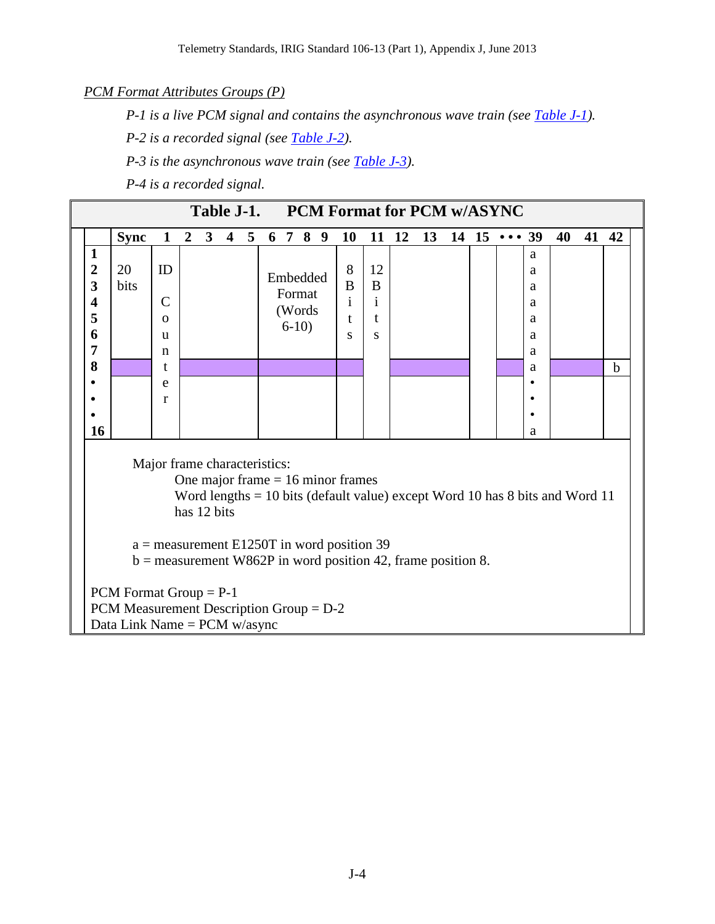## *PCM Format Attributes Groups (P)*

*P-1 is a live PCM signal and contains the asynchronous wave train (see [Table J-1\)](#page-7-0).*

*P-2 is a recorded signal (see [Table J-2\)](#page-8-0).*

*P-3 is the asynchronous wave train (see [Table J-3\)](#page-9-0).*

*P-4 is a recorded signal.*

<span id="page-7-0"></span>

|                                           |                                                                                                                                                                                                                                                                                                                               |                                |               |                |                |                         |   |  |          |        |  |              |             |       |          | Table J-1. PCM Format for PCM w/ASYNC                                       |    |    |    |             |
|-------------------------------------------|-------------------------------------------------------------------------------------------------------------------------------------------------------------------------------------------------------------------------------------------------------------------------------------------------------------------------------|--------------------------------|---------------|----------------|----------------|-------------------------|---|--|----------|--------|--|--------------|-------------|-------|----------|-----------------------------------------------------------------------------|----|----|----|-------------|
|                                           |                                                                                                                                                                                                                                                                                                                               | <b>Sync</b>                    | $\mathbf{1}$  | $\overline{2}$ | $\overline{3}$ | $\overline{\mathbf{4}}$ | 5 |  | 6 7 8 9  |        |  | 10           |             | 11 12 | 13 14 15 | $\bullet\hspace{0.1cm} \bullet\hspace{0.1cm} \bullet\hspace{0.1cm} \bullet$ | 39 | 40 | 41 | 42          |
|                                           | $\mathbf{1}$                                                                                                                                                                                                                                                                                                                  |                                |               |                |                |                         |   |  |          |        |  |              |             |       |          |                                                                             | a  |    |    |             |
|                                           | $\mathbf 2$                                                                                                                                                                                                                                                                                                                   | 20                             | ID            |                |                |                         |   |  | Embedded |        |  | 8            | 12          |       |          |                                                                             | a  |    |    |             |
|                                           | 3                                                                                                                                                                                                                                                                                                                             | bits                           |               |                |                |                         |   |  | Format   |        |  | $\bf{B}$     | B           |       |          |                                                                             | a  |    |    |             |
|                                           | $\overline{\mathbf{4}}$                                                                                                                                                                                                                                                                                                       |                                | $\mathcal{C}$ |                |                |                         |   |  | (Words)  |        |  | $\mathbf{i}$ | 1           |       |          |                                                                             | a  |    |    |             |
|                                           | 5                                                                                                                                                                                                                                                                                                                             |                                | $\Omega$      |                |                |                         |   |  |          | $6-10$ |  | t            | $\mathbf t$ |       |          |                                                                             | a  |    |    |             |
|                                           | 6                                                                                                                                                                                                                                                                                                                             |                                | u             |                |                |                         |   |  |          |        |  | S            | S           |       |          |                                                                             | a  |    |    |             |
|                                           | 7                                                                                                                                                                                                                                                                                                                             |                                | n             |                |                |                         |   |  |          |        |  |              |             |       |          |                                                                             | a  |    |    |             |
|                                           | 8                                                                                                                                                                                                                                                                                                                             |                                | t             |                |                |                         |   |  |          |        |  |              |             |       |          |                                                                             | a  |    |    | $\mathbf b$ |
|                                           |                                                                                                                                                                                                                                                                                                                               |                                | e<br>r        |                |                |                         |   |  |          |        |  |              |             |       |          |                                                                             |    |    |    |             |
|                                           |                                                                                                                                                                                                                                                                                                                               |                                |               |                |                |                         |   |  |          |        |  |              |             |       |          |                                                                             |    |    |    |             |
|                                           |                                                                                                                                                                                                                                                                                                                               |                                |               |                |                |                         |   |  |          |        |  |              |             |       |          |                                                                             |    |    |    |             |
| PCM Measurement Description Group $= D-2$ | 16<br>a<br>Major frame characteristics:<br>One major frame $= 16$ minor frames<br>Word lengths $= 10$ bits (default value) except Word 10 has 8 bits and Word 11<br>has 12 bits<br>$a =$ measurement E1250T in word position 39<br>$b =$ measurement W862P in word position 42, frame position 8.<br>PCM Format Group $= P-1$ |                                |               |                |                |                         |   |  |          |        |  |              |             |       |          |                                                                             |    |    |    |             |
|                                           |                                                                                                                                                                                                                                                                                                                               | Data Link Name = $PCM$ w/async |               |                |                |                         |   |  |          |        |  |              |             |       |          |                                                                             |    |    |    |             |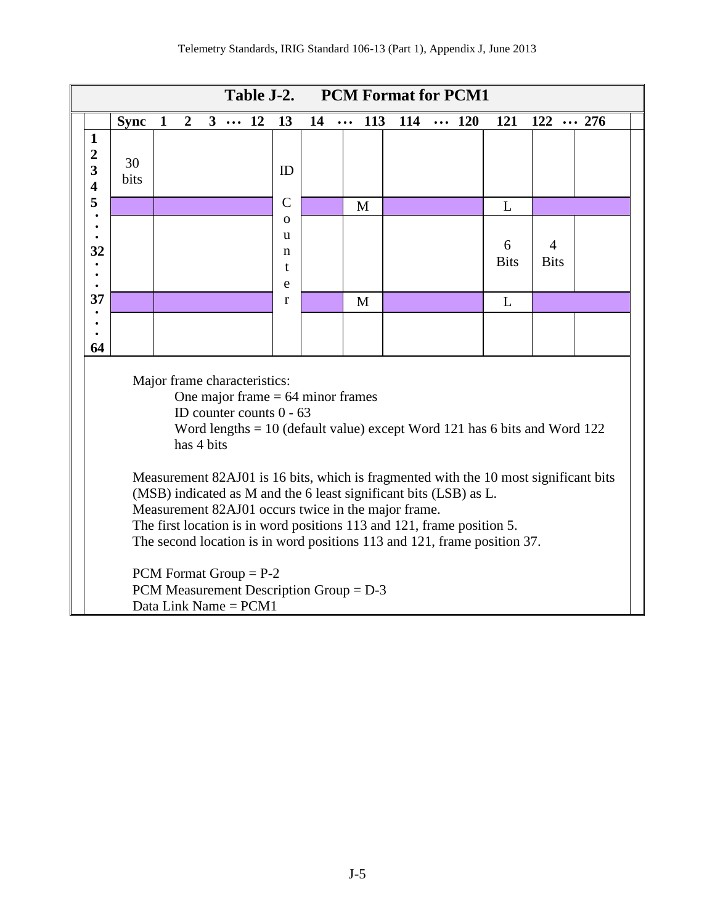<span id="page-8-0"></span>

|                               |                                                                                                                                                                                                                                                                                                                                                                        |             |              |                |  |               | Table J-2.                                        |                                  |    | <b>PCM Format for PCM1</b>                |     |              |  |                  |                               |  |
|-------------------------------|------------------------------------------------------------------------------------------------------------------------------------------------------------------------------------------------------------------------------------------------------------------------------------------------------------------------------------------------------------------------|-------------|--------------|----------------|--|---------------|---------------------------------------------------|----------------------------------|----|-------------------------------------------|-----|--------------|--|------------------|-------------------------------|--|
|                               |                                                                                                                                                                                                                                                                                                                                                                        | <b>Sync</b> | $\mathbf{1}$ | $\overline{2}$ |  | $3 \cdots 12$ |                                                   | 13                               | 14 | 113                                       | 114 | $\cdots$ 120 |  | 121              | $122 \cdots 276$              |  |
| 1<br>$\overline{2}$<br>3<br>4 |                                                                                                                                                                                                                                                                                                                                                                        | 30<br>bits  |              |                |  |               |                                                   | ID                               |    |                                           |     |              |  |                  |                               |  |
| 5                             |                                                                                                                                                                                                                                                                                                                                                                        |             |              |                |  |               |                                                   | $\overline{C}$                   |    | M                                         |     |              |  | L                |                               |  |
|                               | 32                                                                                                                                                                                                                                                                                                                                                                     |             |              |                |  |               |                                                   | $\mathbf{O}$<br>u<br>n<br>t<br>e |    |                                           |     |              |  | 6<br><b>Bits</b> | $\overline{4}$<br><b>Bits</b> |  |
|                               | 37                                                                                                                                                                                                                                                                                                                                                                     |             |              |                |  |               |                                                   | r                                |    | M                                         |     |              |  | L                |                               |  |
|                               | 64                                                                                                                                                                                                                                                                                                                                                                     |             |              |                |  |               |                                                   |                                  |    |                                           |     |              |  |                  |                               |  |
|                               | Major frame characteristics:<br>One major frame $= 64$ minor frames<br>ID counter counts $0 - 63$<br>Word lengths $= 10$ (default value) except Word 121 has 6 bits and Word 122<br>has 4 bits                                                                                                                                                                         |             |              |                |  |               |                                                   |                                  |    |                                           |     |              |  |                  |                               |  |
|                               | Measurement 82AJ01 is 16 bits, which is fragmented with the 10 most significant bits<br>(MSB) indicated as M and the 6 least significant bits (LSB) as L.<br>Measurement 82AJ01 occurs twice in the major frame.<br>The first location is in word positions 113 and 121, frame position 5.<br>The second location is in word positions 113 and 121, frame position 37. |             |              |                |  |               |                                                   |                                  |    |                                           |     |              |  |                  |                               |  |
|                               |                                                                                                                                                                                                                                                                                                                                                                        |             |              |                |  |               | PCM Format Group $= P-2$<br>Data Link Name = PCM1 |                                  |    | PCM Measurement Description Group = $D-3$ |     |              |  |                  |                               |  |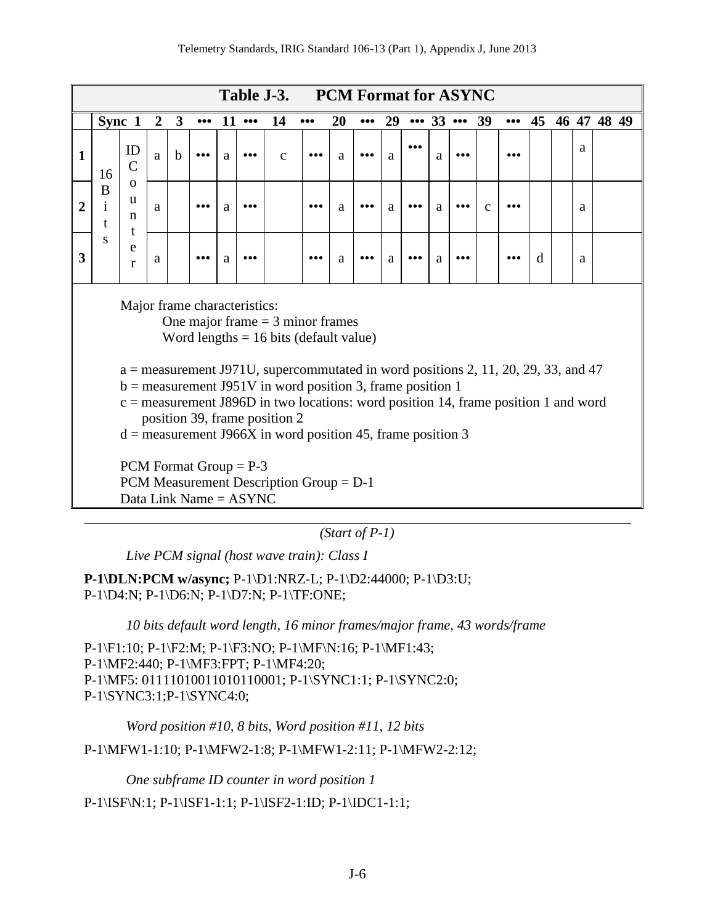<span id="page-9-0"></span>

|   |                                                                |                               |                |              |                         |   | Table J-3.                                                                           |                                                                                                                                                                                                                                                                                                                                                                                                                                                                                |                         |    |                         |    | <b>PCM Format for ASYNC</b> |   |                         |              |                    |  |   |  |
|---|----------------------------------------------------------------|-------------------------------|----------------|--------------|-------------------------|---|--------------------------------------------------------------------------------------|--------------------------------------------------------------------------------------------------------------------------------------------------------------------------------------------------------------------------------------------------------------------------------------------------------------------------------------------------------------------------------------------------------------------------------------------------------------------------------|-------------------------|----|-------------------------|----|-----------------------------|---|-------------------------|--------------|--------------------|--|---|--|
|   | Sync 1                                                         |                               | $\overline{2}$ | $\mathbf{3}$ | $\bullet\bullet\bullet$ |   | $11 \cdots$                                                                          | 14                                                                                                                                                                                                                                                                                                                                                                                                                                                                             | $\bullet\bullet\bullet$ | 20 | $\bullet\bullet\bullet$ | 29 |                             |   | 33  39                  |              | ••• 45 46 47 48 49 |  |   |  |
| 1 | 16                                                             | ID<br>$\overline{C}$          | a              | $\mathbf b$  |                         | a | • • •                                                                                | $\mathbf{c}$                                                                                                                                                                                                                                                                                                                                                                                                                                                                   | $\bullet\bullet\bullet$ | a  | $\bullet\bullet\bullet$ | a  | • • •                       | a |                         |              |                    |  | a |  |
| 2 | B<br>1<br>t                                                    | $\Omega$<br>$\mathbf{u}$<br>n | a              |              |                         | a | $\bullet\bullet\bullet$                                                              |                                                                                                                                                                                                                                                                                                                                                                                                                                                                                |                         | a  |                         | a  |                             | a | $\bullet\bullet\bullet$ | $\mathbf{C}$ |                    |  | a |  |
| 3 | t<br>S<br>e<br>d<br>a<br>a<br>a<br>a<br>a<br>a<br>$\mathbf{r}$ |                               |                |              |                         |   |                                                                                      |                                                                                                                                                                                                                                                                                                                                                                                                                                                                                |                         |    |                         |    |                             |   |                         |              |                    |  |   |  |
|   |                                                                |                               |                |              |                         |   | Major frame characteristics:<br>PCM Format Group = $P-3$<br>Data Link Name $=$ ASYNC | One major frame $=$ 3 minor frames<br>Word lengths $= 16$ bits (default value)<br>$a =$ measurement J971U, supercommutated in word positions 2, 11, 20, 29, 33, and 47<br>$b =$ measurement J951V in word position 3, frame position 1<br>$c =$ measurement J896D in two locations: word position 14, frame position 1 and word<br>position 39, frame position 2<br>$d =$ measurement J966X in word position 45, frame position 3<br>PCM Measurement Description Group = $D-1$ |                         |    |                         |    |                             |   |                         |              |                    |  |   |  |

#### *(Start of P-1)*

*Live PCM signal (host wave train): Class I* 

**P-1\DLN:PCM w/async;** P-1\D1:NRZ-L; P-1\D2:44000; P-1\D3:U; P-1\D4:N; P-1\D6:N; P-1\D7:N; P-1\TF:ONE;

*10 bits default word length, 16 minor frames/major frame, 43 words/frame* 

P-1\F1:10; P-1\F2:M; P-1\F3:NO; P-1\MF\N:16; P-1\MF1:43; P-1\MF2:440; P-1\MF3:FPT; P-1\MF4:20; P-1\MF5: 01111010011010110001; P-1\SYNC1:1; P-1\SYNC2:0; P-1\SYNC3:1;P-1\SYNC4:0;

*Word position #10, 8 bits, Word position #11, 12 bits*

P-1\MFW1-1:10; P-1\MFW2-1:8; P-1\MFW1-2:11; P-1\MFW2-2:12;

*One subframe ID counter in word position 1*

P-1\ISF\N:1; P-1\ISF1-1:1; P-1\ISF2-1:ID; P-1\IDC1-1:1;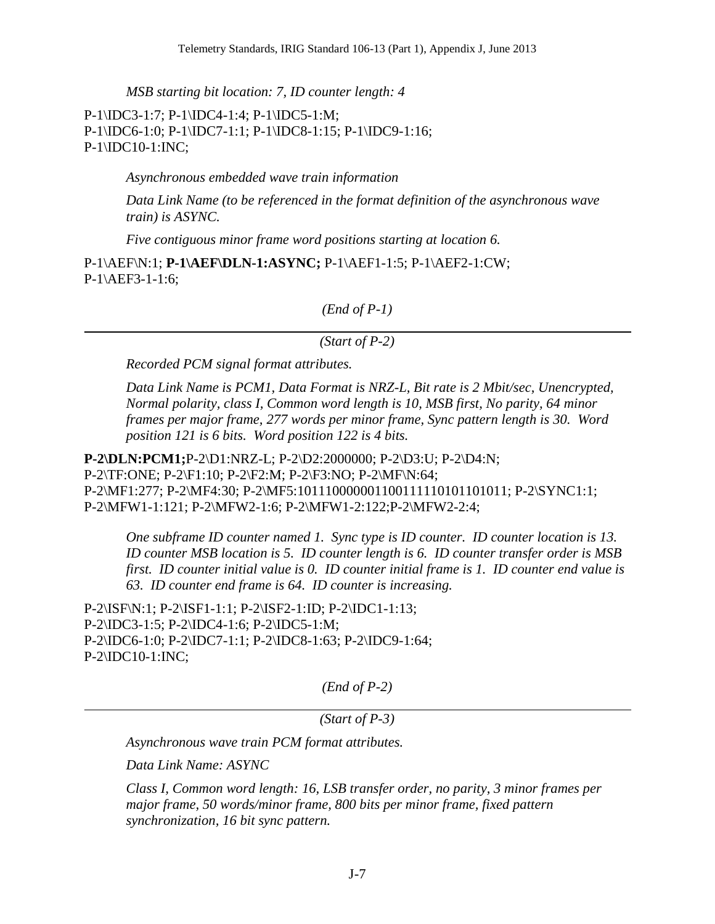*MSB starting bit location: 7, ID counter length: 4*

P-1\IDC3-1:7; P-1\IDC4-1:4; P-1\IDC5-1:M; P-1\IDC6-1:0; P-1\IDC7-1:1; P-1\IDC8-1:15; P-1\IDC9-1:16; P-1\IDC10-1:INC;

*Asynchronous embedded wave train information*

*Data Link Name (to be referenced in the format definition of the asynchronous wave train) is ASYNC.*

*Five contiguous minor frame word positions starting at location 6.*

P-1\AEF\N:1; **P-1\AEF\DLN-1:ASYNC;** P-1\AEF1-1:5; P-1\AEF2-1:CW; P-1\AEF3-1-1:6;

*(End of P-1)*

# *(Start of P-2)*

*Recorded PCM signal format attributes.*

*Data Link Name is PCM1, Data Format is NRZ-L, Bit rate is 2 Mbit/sec, Unencrypted, Normal polarity, class I, Common word length is 10, MSB first, No parity, 64 minor frames per major frame, 277 words per minor frame, Sync pattern length is 30. Word position 121 is 6 bits. Word position 122 is 4 bits.*

**P-2\DLN:PCM1;**P-2\D1:NRZ-L; P-2\D2:2000000; P-2\D3:U; P-2\D4:N; P-2\TF:ONE; P-2\F1:10; P-2\F2:M; P-2\F3:NO; P-2\MF\N:64; P-2\MF1:277; P-2\MF4:30; P-2\MF5:101110000001100111110101101011; P-2\SYNC1:1; P-2\MFW1-1:121; P-2\MFW2-1:6; P-2\MFW1-2:122;P-2\MFW2-2:4;

*One subframe ID counter named 1. Sync type is ID counter. ID counter location is 13. ID counter MSB location is 5. ID counter length is 6. ID counter transfer order is MSB first. ID counter initial value is 0. ID counter initial frame is 1. ID counter end value is 63. ID counter end frame is 64. ID counter is increasing.*

P-2\ISF\N:1; P-2\ISF1-1:1; P-2\ISF2-1:ID; P-2\IDC1-1:13; P-2\IDC3-1:5; P-2\IDC4-1:6; P-2\IDC5-1:M; P-2\IDC6-1:0; P-2\IDC7-1:1; P-2\IDC8-1:63; P-2\IDC9-1:64; P-2\IDC10-1:INC;

*(End of P-2)*

*(Start of P-3)*

*Asynchronous wave train PCM format attributes.*

*Data Link Name: ASYNC*

*Class I, Common word length: 16, LSB transfer order, no parity, 3 minor frames per major frame, 50 words/minor frame, 800 bits per minor frame, fixed pattern synchronization, 16 bit sync pattern.*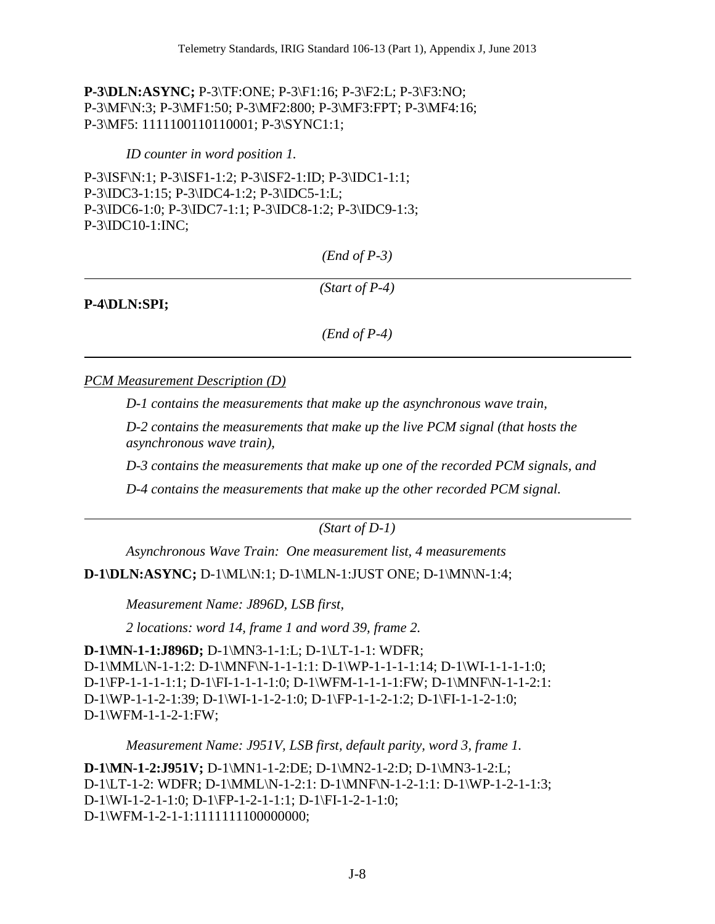#### **P-3\DLN:ASYNC;** P-3\TF:ONE; P-3\F1:16; P-3\F2:L; P-3\F3:NO; P-3\MF\N:3; P-3\MF1:50; P-3\MF2:800; P-3\MF3:FPT; P-3\MF4:16; P-3\MF5: 1111100110110001; P-3\SYNC1:1;

*ID counter in word position 1.*

P-3\ISF\N:1; P-3\ISF1-1:2; P-3\ISF2-1:ID; P-3\IDC1-1:1; P-3\IDC3-1:15; P-3\IDC4-1:2; P-3\IDC5-1:L; P-3\IDC6-1:0; P-3\IDC7-1:1; P-3\IDC8-1:2; P-3\IDC9-1:3; P-3\IDC10-1:INC;

*(End of P-3)*

**P-4\DLN:SPI;**

*(Start of P-4)*

*(End of P-4)*

*PCM Measurement Description (D)*

*D-1 contains the measurements that make up the asynchronous wave train,*

*D-2 contains the measurements that make up the live PCM signal (that hosts the asynchronous wave train),*

*D-3 contains the measurements that make up one of the recorded PCM signals, and*

*D-4 contains the measurements that make up the other recorded PCM signal.*

*(Start of D-1)*

*Asynchronous Wave Train: One measurement list, 4 measurements*

**D-1\DLN:ASYNC;** D-1\ML\N:1; D-1\MLN-1:JUST ONE; D-1\MN\N-1:4;

*Measurement Name: J896D, LSB first,* 

*2 locations: word 14, frame 1 and word 39, frame 2.*

**D-1\MN-1-1:J896D;** D-1\MN3-1-1:L; D-1\LT-1-1: WDFR; D-1\MML\N-1-1:2: D-1\MNF\N-1-1-1:1: D-1\WP-1-1-1-1:14; D-1\WI-1-1-1-1:0; D-1\FP-1-1-1-1:1; D-1\FI-1-1-1-1:0; D-1\WFM-1-1-1-1:FW; D-1\MNF\N-1-1-2:1: D-1\WP-1-1-2-1:39; D-1\WI-1-1-2-1:0; D-1\FP-1-1-2-1:2; D-1\FI-1-1-2-1:0; D-1\WFM-1-1-2-1:FW;

*Measurement Name: J951V, LSB first, default parity, word 3, frame 1.*

**D-1\MN-1-2:J951V;** D-1\MN1-1-2:DE; D-1\MN2-1-2:D; D-1\MN3-1-2:L; D-1\LT-1-2: WDFR; D-1\MML\N-1-2:1: D-1\MNF\N-1-2-1:1: D-1\WP-1-2-1-1:3; D-1\WI-1-2-1-1:0; D-1\FP-1-2-1-1:1; D-1\FI-1-2-1-1:0; D-1\WFM-1-2-1-1:1111111100000000;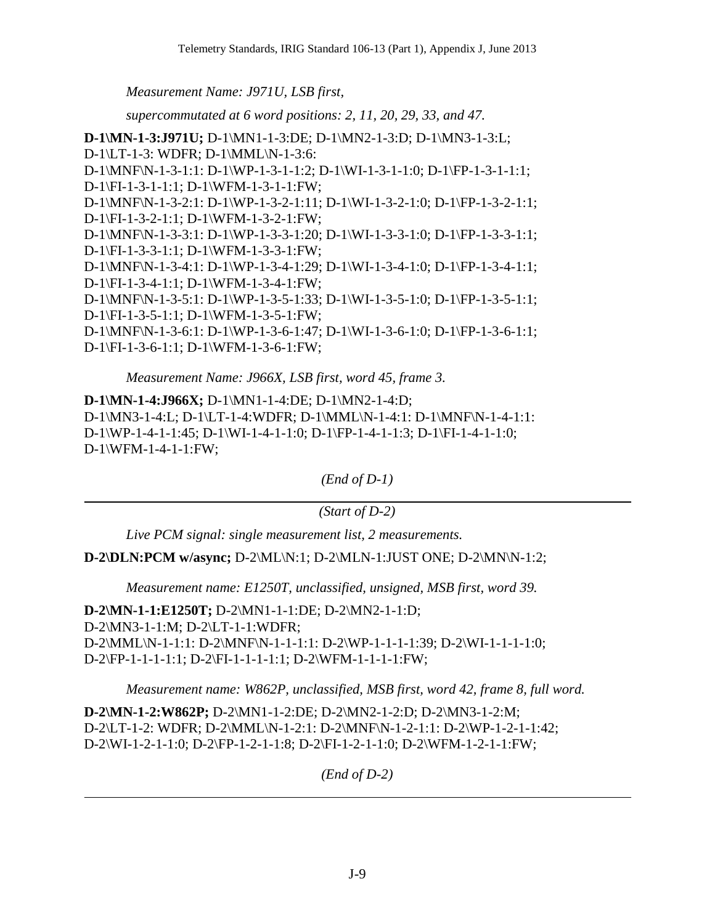*Measurement Name: J971U, LSB first,* 

*supercommutated at 6 word positions: 2, 11, 20, 29, 33, and 47.*

**D-1\MN-1-3:J971U;** D-1\MN1-1-3:DE; D-1\MN2-1-3:D; D-1\MN3-1-3:L; D-1\LT-1-3: WDFR; D-1\MML\N-1-3:6: D-1\MNF\N-1-3-1:1: D-1\WP-1-3-1-1:2; D-1\WI-1-3-1-1:0; D-1\FP-1-3-1-1:1; D-1\FI-1-3-1-1:1; D-1\WFM-1-3-1-1:FW; D-1\MNF\N-1-3-2:1: D-1\WP-1-3-2-1:11; D-1\WI-1-3-2-1:0; D-1\FP-1-3-2-1:1; D-1\FI-1-3-2-1:1; D-1\WFM-1-3-2-1:FW; D-1\MNF\N-1-3-3:1: D-1\WP-1-3-3-1:20; D-1\WI-1-3-3-1:0; D-1\FP-1-3-3-1:1; D-1\FI-1-3-3-1:1; D-1\WFM-1-3-3-1:FW; D-1\MNF\N-1-3-4:1: D-1\WP-1-3-4-1:29; D-1\WI-1-3-4-1:0; D-1\FP-1-3-4-1:1; D-1\FI-1-3-4-1:1; D-1\WFM-1-3-4-1:FW; D-1\MNF\N-1-3-5:1: D-1\WP-1-3-5-1:33; D-1\WI-1-3-5-1:0; D-1\FP-1-3-5-1:1; D-1\FI-1-3-5-1:1; D-1\WFM-1-3-5-1:FW; D-1\MNF\N-1-3-6:1: D-1\WP-1-3-6-1:47; D-1\WI-1-3-6-1:0; D-1\FP-1-3-6-1:1; D-1\FI-1-3-6-1:1; D-1\WFM-1-3-6-1:FW;

*Measurement Name: J966X, LSB first, word 45, frame 3.*

**D-1\MN-1-4:J966X;** D-1\MN1-1-4:DE; D-1\MN2-1-4:D; D-1\MN3-1-4:L; D-1\LT-1-4:WDFR; D-1\MML\N-1-4:1: D-1\MNF\N-1-4-1:1: D-1\WP-1-4-1-1:45; D-1\WI-1-4-1-1:0; D-1\FP-1-4-1-1:3; D-1\FI-1-4-1-1:0; D-1\WFM-1-4-1-1:FW;

*(End of D-1)*

*(Start of D-2)*

*Live PCM signal: single measurement list, 2 measurements.*

**D-2\DLN:PCM w/async;** D-2\ML\N:1; D-2\MLN-1:JUST ONE; D-2\MN\N-1:2;

*Measurement name: E1250T, unclassified, unsigned, MSB first, word 39.* 

**D-2\MN-1-1:E1250T;** D-2\MN1-1-1:DE; D-2\MN2-1-1:D; D-2\MN3-1-1:M; D-2\LT-1-1:WDFR; D-2\MML\N-1-1:1: D-2\MNF\N-1-1-1:1: D-2\WP-1-1-1-1:39; D-2\WI-1-1-1-1:0; D-2\FP-1-1-1-1:1; D-2\FI-1-1-1-1:1; D-2\WFM-1-1-1-1:FW;

*Measurement name: W862P, unclassified, MSB first, word 42, frame 8, full word.*

**D-2\MN-1-2:W862P;** D-2\MN1-1-2:DE; D-2\MN2-1-2:D; D-2\MN3-1-2:M; D-2\LT-1-2: WDFR; D-2\MML\N-1-2:1: D-2\MNF\N-1-2-1:1: D-2\WP-1-2-1-1:42; D-2\WI-1-2-1-1:0; D-2\FP-1-2-1-1:8; D-2\FI-1-2-1-1:0; D-2\WFM-1-2-1-1:FW;

*(End of D-2)*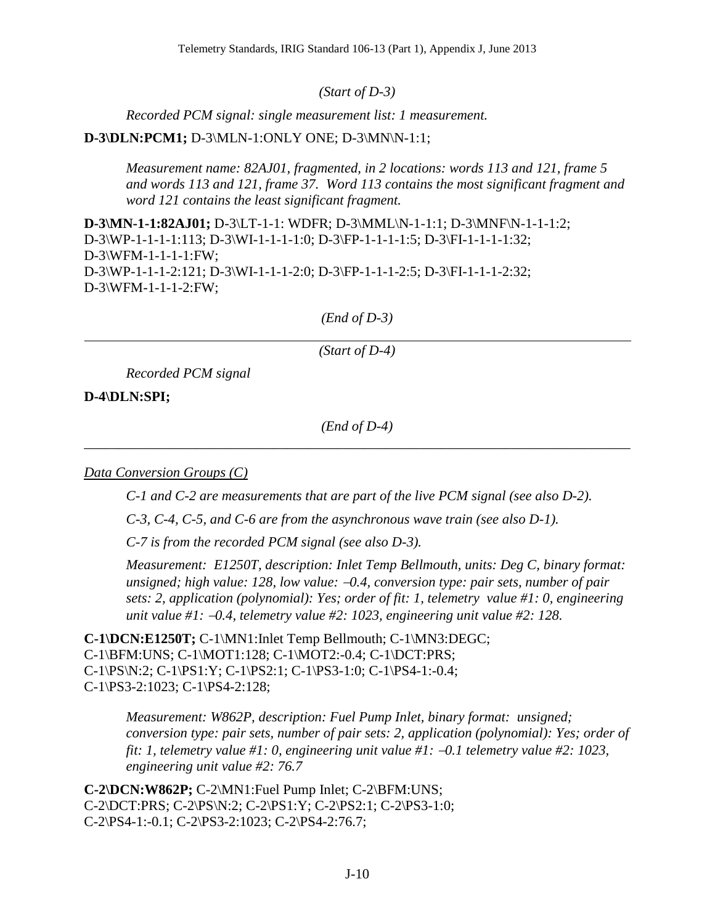*(Start of D-3)*

*Recorded PCM signal: single measurement list: 1 measurement.*

**D-3\DLN:PCM1;** D-3\MLN-1:ONLY ONE; D-3\MN\N-1:1;

*Measurement name: 82AJ01, fragmented, in 2 locations: words 113 and 121, frame 5 and words 113 and 121, frame 37. Word 113 contains the most significant fragment and word 121 contains the least significant fragment.*

**D-3\MN-1-1:82AJ01;** D-3\LT-1-1: WDFR; D-3\MML\N-1-1:1; D-3\MNF\N-1-1-1:2; D-3\WP-1-1-1-1:113; D-3\WI-1-1-1-1:0; D-3\FP-1-1-1-1:5; D-3\FI-1-1-1-1:32; D-3\WFM-1-1-1-1:FW; D-3\WP-1-1-1-2:121; D-3\WI-1-1-1-2:0; D-3\FP-1-1-1-2:5; D-3\FI-1-1-1-2:32; D-3\WFM-1-1-1-2:FW;

*(End of D-3)*

*(Start of D-4)*

*Recorded PCM signal*

**D-4\DLN:SPI;**

*(End of D-4)* \_\_\_\_\_\_\_\_\_\_\_\_\_\_\_\_\_\_\_\_\_\_\_\_\_\_\_\_\_\_\_\_\_\_\_\_\_\_\_\_\_\_\_\_\_\_\_\_\_\_\_\_\_\_\_\_\_\_\_\_\_\_\_\_\_\_\_\_\_\_\_\_\_\_\_\_\_\_

*Data Conversion Groups (C)*

*C-1 and C-2 are measurements that are part of the live PCM signal (see also D-2).*

*C-3, C-4, C-5, and C-6 are from the asynchronous wave train (see also D-1).*

*C-7 is from the recorded PCM signal (see also D-3).*

*Measurement: E1250T, description: Inlet Temp Bellmouth, units: Deg C, binary format: unsigned; high value: 128, low value:* −*0.4, conversion type: pair sets, number of pair sets: 2, application (polynomial): Yes; order of fit: 1, telemetry value #1: 0, engineering unit value #1:* −*0.4, telemetry value #2: 1023, engineering unit value #2: 128.*

**C-1\DCN:E1250T;** C-1\MN1:Inlet Temp Bellmouth; C-1\MN3:DEGC; C-1\BFM:UNS; C-1\MOT1:128; C-1\MOT2:-0.4; C-1\DCT:PRS; C-1\PS\N:2; C-1\PS1:Y; C-1\PS2:1; C-1\PS3-1:0; C-1\PS4-1:-0.4; C-1\PS3-2:1023; C-1\PS4-2:128;

*Measurement: W862P, description: Fuel Pump Inlet, binary format: unsigned; conversion type: pair sets, number of pair sets: 2, application (polynomial): Yes; order of fit: 1, telemetry value #1: 0, engineering unit value #1:* −*0.1 telemetry value #2: 1023, engineering unit value #2: 76.7*

**C-2\DCN:W862P;** C-2\MN1:Fuel Pump Inlet; C-2\BFM:UNS; C-2\DCT:PRS; C-2\PS\N:2; C-2\PS1:Y; C-2\PS2:1; C-2\PS3-1:0; C-2\PS4-1:-0.1; C-2\PS3-2:1023; C-2\PS4-2:76.7;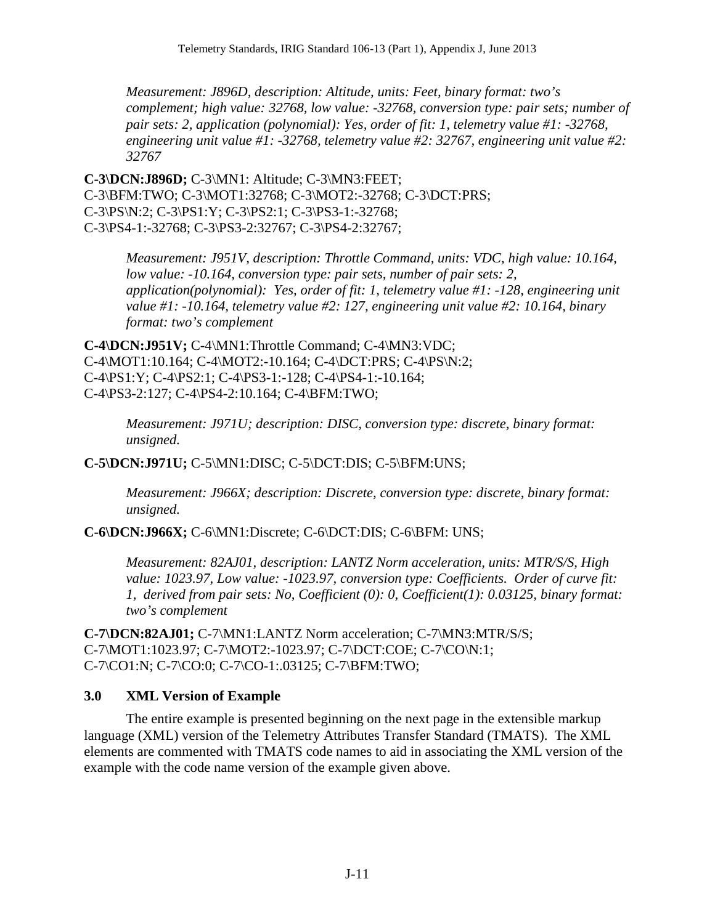*Measurement: J896D, description: Altitude, units: Feet, binary format: two's complement; high value: 32768, low value: -32768, conversion type: pair sets; number of pair sets: 2, application (polynomial): Yes, order of fit: 1, telemetry value #1: -32768, engineering unit value #1: -32768, telemetry value #2: 32767, engineering unit value #2: 32767*

**C-3\DCN:J896D;** C-3\MN1: Altitude; C-3\MN3:FEET; C-3\BFM:TWO; C-3\MOT1:32768; C-3\MOT2:-32768; C-3\DCT:PRS; C-3\PS\N:2; C-3\PS1:Y; C-3\PS2:1; C-3\PS3-1:-32768; C-3\PS4-1:-32768; C-3\PS3-2:32767; C-3\PS4-2:32767;

*Measurement: J951V, description: Throttle Command, units: VDC, high value: 10.164, low value: -10.164, conversion type: pair sets, number of pair sets: 2, application(polynomial): Yes, order of fit: 1, telemetry value #1: -128, engineering unit value #1: -10.164, telemetry value #2: 127, engineering unit value #2: 10.164, binary format: two's complement*

**C-4\DCN:J951V;** C-4\MN1:Throttle Command; C-4\MN3:VDC; C-4\MOT1:10.164; C-4\MOT2:-10.164; C-4\DCT:PRS; C-4\PS\N:2; C-4\PS1:Y; C-4\PS2:1; C-4\PS3-1:-128; C-4\PS4-1:-10.164; C-4\PS3-2:127; C-4\PS4-2:10.164; C-4\BFM:TWO;

> *Measurement: J971U; description: DISC, conversion type: discrete, binary format: unsigned.*

**C-5\DCN:J971U;** C-5\MN1:DISC; C-5\DCT:DIS; C-5\BFM:UNS;

*Measurement: J966X; description: Discrete, conversion type: discrete, binary format: unsigned.*

**C-6\DCN:J966X;** C-6\MN1:Discrete; C-6\DCT:DIS; C-6\BFM: UNS;

*Measurement: 82AJ01, description: LANTZ Norm acceleration, units: MTR/S/S, High value: 1023.97, Low value: -1023.97, conversion type: Coefficients. Order of curve fit: 1, derived from pair sets: No, Coefficient (0): 0, Coefficient(1): 0.03125, binary format: two's complement*

**C-7\DCN:82AJ01;** C-7\MN1:LANTZ Norm acceleration; C-7\MN3:MTR/S/S; C-7\MOT1:1023.97; C-7\MOT2:-1023.97; C-7\DCT:COE; C-7\CO\N:1; C-7\CO1:N; C-7\CO:0; C-7\CO-1:.03125; C-7\BFM:TWO;

## <span id="page-14-0"></span>**3.0 XML Version of Example**

The entire example is presented beginning on the next page in the extensible markup language (XML) version of the Telemetry Attributes Transfer Standard (TMATS). The XML elements are commented with TMATS code names to aid in associating the XML version of the example with the code name version of the example given above.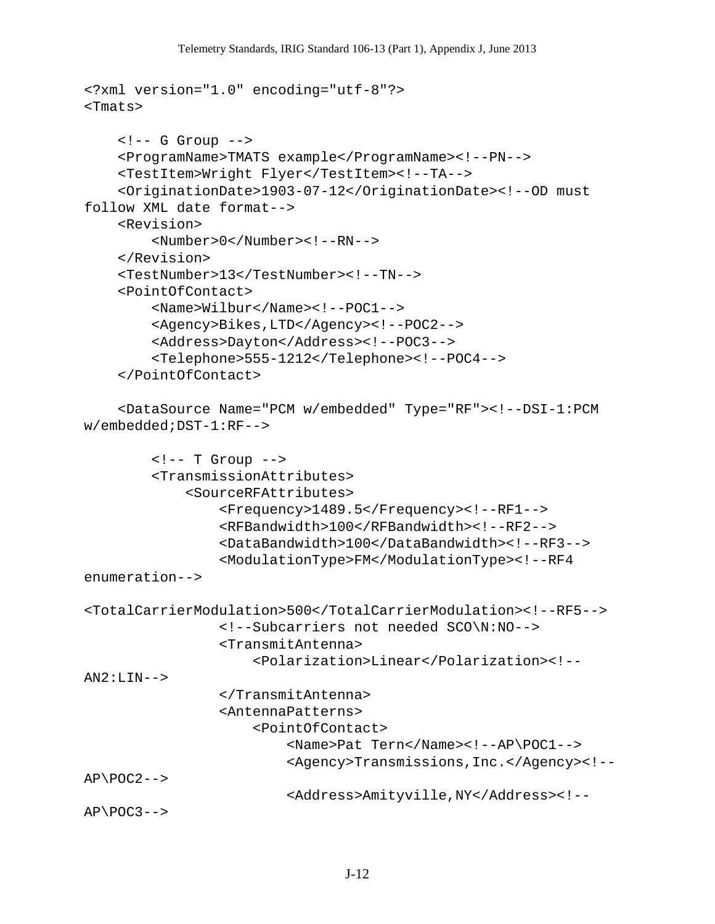```
<?xml version="1.0" encoding="utf-8"?>
<Tmats>
     <!-- G Group -->
     <ProgramName>TMATS example</ProgramName><!--PN-->
     <TestItem>Wright Flyer</TestItem><!--TA-->
     <OriginationDate>1903-07-12</OriginationDate><!--OD must 
follow XML date format-->
     <Revision>
         <Number>0</Number><!--RN-->
     </Revision>
     <TestNumber>13</TestNumber><!--TN-->
     <PointOfContact>
         <Name>Wilbur</Name><!--POC1-->
         <Agency>Bikes,LTD</Agency><!--POC2-->
         <Address>Dayton</Address><!--POC3-->
         <Telephone>555-1212</Telephone><!--POC4-->
     </PointOfContact>
     <DataSource Name="PCM w/embedded" Type="RF"><!--DSI-1:PCM 
w/embedded;DST-1:RF-->
        \langle :-- T Group -->
         <TransmissionAttributes>
             <SourceRFAttributes>
                  <Frequency>1489.5</Frequency><!--RF1-->
                  <RFBandwidth>100</RFBandwidth><!--RF2-->
                  <DataBandwidth>100</DataBandwidth><!--RF3-->
                  <ModulationType>FM</ModulationType><!--RF4 
enumeration-->
<TotalCarrierModulation>500</TotalCarrierModulation><!--RF5-->
                  <!--Subcarriers not needed SCO\N:NO-->
                  <TransmitAntenna>
                      <Polarization>Linear</Polarization><!--
AN2:LIN-- </TransmitAntenna>
                  <AntennaPatterns>
                      <PointOfContact>
                          <Name>Pat Tern</Name><!--AP\POC1-->
                          <Agency>Transmissions,Inc.</Agency><!--
AP\POC2-- <Address>Amityville,NY</Address><!--
AP\D{POC3--}
```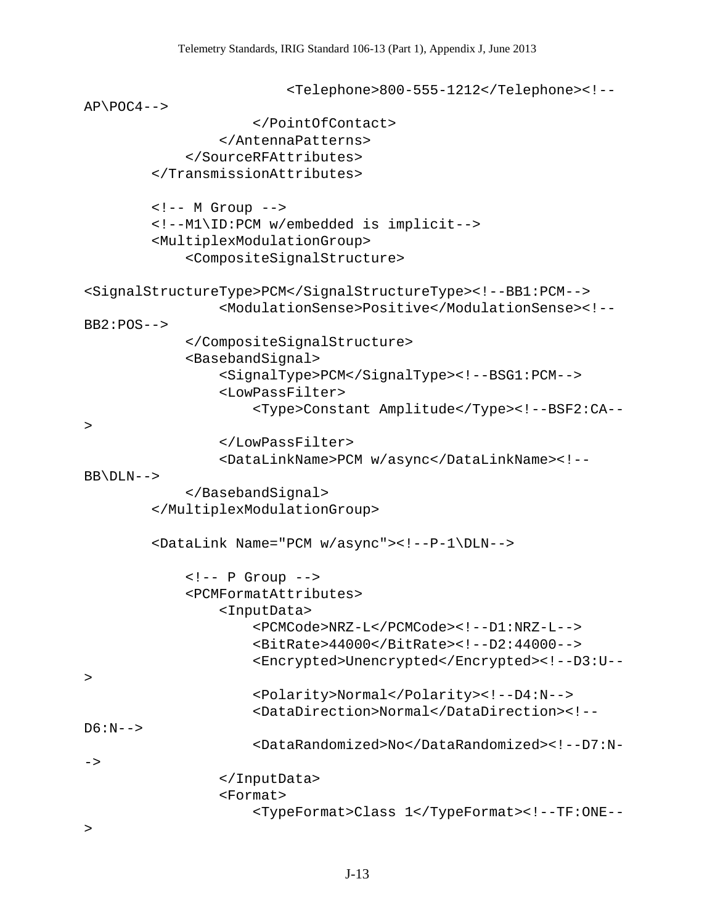```
 <Telephone>800-555-1212</Telephone><!--
AP\POC4-- </PointOfContact>
                  </AntennaPatterns>
              </SourceRFAttributes>
         </TransmissionAttributes>
        \langle !-- M Group -->
         <!--M1\ID:PCM w/embedded is implicit-->
         <MultiplexModulationGroup>
              <CompositeSignalStructure>
<SignalStructureType>PCM</SignalStructureType><!--BB1:PCM-->
                  <ModulationSense>Positive</ModulationSense><!--
BB2:POS--> </CompositeSignalStructure>
              <BasebandSignal>
                  <SignalType>PCM</SignalType><!--BSG1:PCM-->
                  <LowPassFilter>
                      <Type>Constant Amplitude</Type><!--BSF2:CA--
>
                  </LowPassFilter>
                  <DataLinkName>PCM w/async</DataLinkName><!--
BB\DLN-->
              </BasebandSignal>
         </MultiplexModulationGroup>
         <DataLink Name="PCM w/async"><!--P-1\DLN-->
             \leftarrow ! -- P Group -->
              <PCMFormatAttributes>
                  <InputData>
                      <PCMCode>NRZ-L</PCMCode><!--D1:NRZ-L-->
                      <BitRate>44000</BitRate><!--D2:44000-->
                      <Encrypted>Unencrypted</Encrypted><!--D3:U--
>
                      <Polarity>Normal</Polarity><!--D4:N-->
                      <DataDirection>Normal</DataDirection><!--
D6: N-- <DataRandomized>No</DataRandomized><!--D7:N-
\rightarrow </InputData>
                  <Format>
                      <TypeFormat>Class 1</TypeFormat><!--TF:ONE--
>
```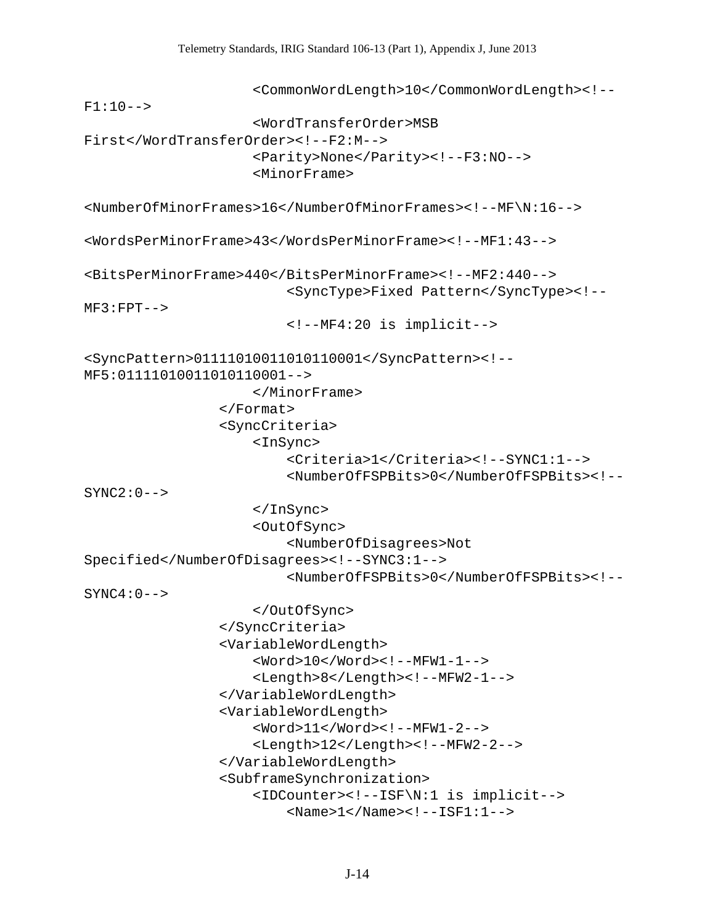```
 <CommonWordLength>10</CommonWordLength><!--
F1:10-->
                      <WordTransferOrder>MSB 
First</WordTransferOrder><!--F2:M-->
                      <Parity>None</Parity><!--F3:NO-->
                      <MinorFrame>
<NumberOfMinorFrames>16</NumberOfMinorFrames><!--MF\N:16-->
<WordsPerMinorFrame>43</WordsPerMinorFrame><!--MF1:43-->
<BitsPerMinorFrame>440</BitsPerMinorFrame><!--MF2:440-->
                          <SyncType>Fixed Pattern</SyncType><!--
MF3:FPT-- <!--MF4:20 is implicit-->
<SyncPattern>01111010011010110001</SyncPattern><!--
MF5:01111010011010110001-->
                      </MinorFrame>
                 </Format>
                 <SyncCriteria>
                      <InSync>
                          <Criteria>1</Criteria><!--SYNC1:1-->
                          <NumberOfFSPBits>0</NumberOfFSPBits><!--
SYNC2:0-->
                      </InSync>
                     <OutOfSync>
                          <NumberOfDisagrees>Not 
Specified</NumberOfDisagrees><!--SYNC3:1-->
                          <NumberOfFSPBits>0</NumberOfFSPBits><!--
SYNC4:0-- </OutOfSync>
                 </SyncCriteria>
                 <VariableWordLength>
                      <Word>10</Word><!--MFW1-1-->
                      <Length>8</Length><!--MFW2-1-->
                 </VariableWordLength>
                 <VariableWordLength>
                      <Word>11</Word><!--MFW1-2-->
                      <Length>12</Length><!--MFW2-2-->
                 </VariableWordLength>
                 <SubframeSynchronization>
                      <IDCounter><!--ISF\N:1 is implicit-->
                          <Name>1</Name><!--ISF1:1-->
```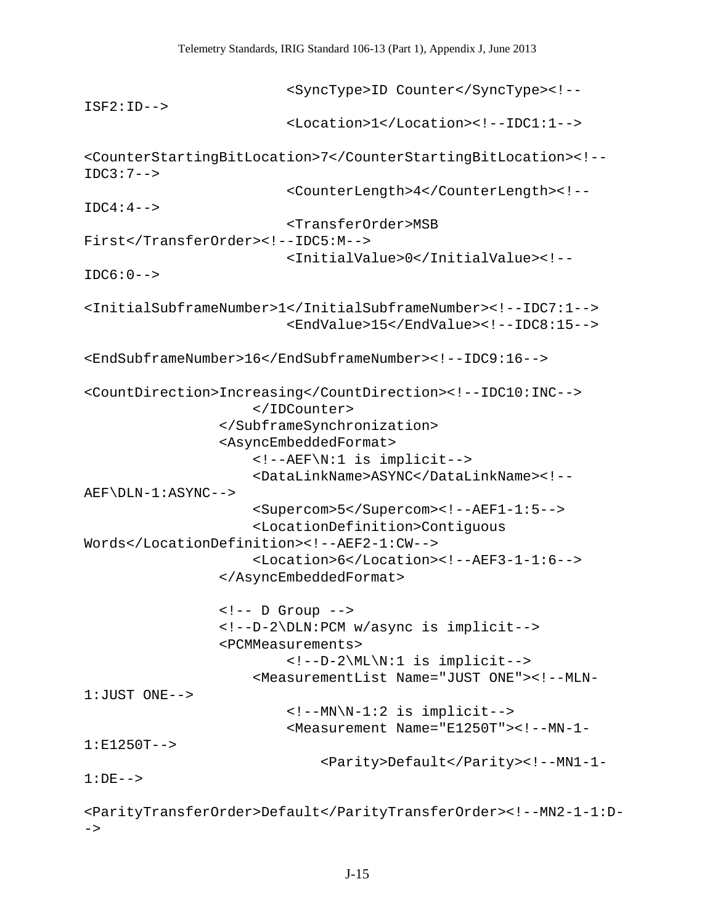```
 <SyncType>ID Counter</SyncType><!--
ISF2:ID-->
                          <Location>1</Location><!--IDC1:1-->
<CounterStartingBitLocation>7</CounterStartingBitLocation><!--
IDC3:7--> <CounterLength>4</CounterLength><!--
IDC4:4--> <TransferOrder>MSB 
First</TransferOrder><!--IDC5:M-->
                          <InitialValue>0</InitialValue><!--
IDC6:0--<InitialSubframeNumber>1</InitialSubframeNumber><!--IDC7:1-->
                          <EndValue>15</EndValue><!--IDC8:15-->
<EndSubframeNumber>16</EndSubframeNumber><!--IDC9:16-->
<CountDirection>Increasing</CountDirection><!--IDC10:INC-->
                      </IDCounter>
                 </SubframeSynchronization>
                 <AsyncEmbeddedFormat>
                      <!--AEF\N:1 is implicit-->
                      <DataLinkName>ASYNC</DataLinkName><!--
AEF\DLN-1:ASYNC-->
                      <Supercom>5</Supercom><!--AEF1-1:5-->
                      <LocationDefinition>Contiguous 
Words</LocationDefinition><!--AEF2-1:CW-->
                      <Location>6</Location><!--AEF3-1-1:6-->
                 </AsyncEmbeddedFormat>
                \langle :-- D Group -->
                 <!--D-2\DLN:PCM w/async is implicit-->
                 <PCMMeasurements>
                          <!--D-2\ML\N:1 is implicit-->
                      <MeasurementList Name="JUST ONE"><!--MLN-
1:JUST ONE-->
                          <!--MN\N-1:2 is implicit-->
                          <Measurement Name="E1250T"><!--MN-1-
1:E1250T-->
                              <Parity>Default</Parity><!--MN1-1-
1:DR--<ParityTransferOrder>Default</ParityTransferOrder><!--MN2-1-1:D-
\rightarrow
```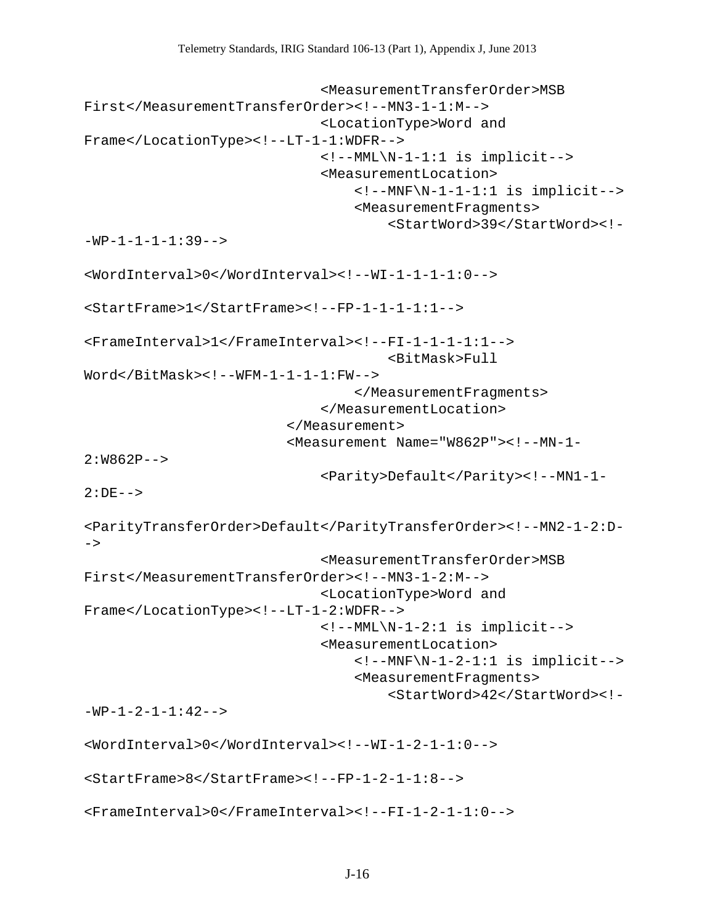```
 <MeasurementTransferOrder>MSB 
First</MeasurementTransferOrder><!--MN3-1-1:M-->
                              <LocationType>Word and 
Frame</LocationType><!--LT-1-1:WDFR-->
                              <!--MML\N-1-1:1 is implicit-->
                              <MeasurementLocation>
                                  <!--MNF\N-1-1-1:1 is implicit-->
                                  <MeasurementFragments>
                                      <StartWord>39</StartWord><!-
-WP-1-1-1-1:39--<WordInterval>0</WordInterval><!--WI-1-1-1-1:0-->
<StartFrame>1</StartFrame><!--FP-1-1-1-1:1-->
<FrameInterval>1</FrameInterval><!--FI-1-1-1-1:1-->
                                      <BitMask>Full 
Word</BitMask><!--WFM-1-1-1-1:FW-->
                                  </MeasurementFragments>
                              </MeasurementLocation>
                          </Measurement>
                         <Measurement Name="W862P"><!--MN-1-
2:W862P-->
                              <Parity>Default</Parity><!--MN1-1-
2:DE--<ParityTransferOrder>Default</ParityTransferOrder><!--MN2-1-2:D-
\rightarrow <MeasurementTransferOrder>MSB 
First</MeasurementTransferOrder><!--MN3-1-2:M-->
                              <LocationType>Word and 
Frame</LocationType><!--LT-1-2:WDFR-->
                              <!--MML\N-1-2:1 is implicit-->
                              <MeasurementLocation>
                                  <!--MNF\N-1-2-1:1 is implicit-->
                                  <MeasurementFragments>
                                      <StartWord>42</StartWord><!-
-WP-1-2-1-1:42--<WordInterval>0</WordInterval><!--WI-1-2-1-1:0-->
<StartFrame>8</StartFrame><!--FP-1-2-1-1:8-->
<FrameInterval>0</FrameInterval><!--FI-1-2-1-1:0-->
```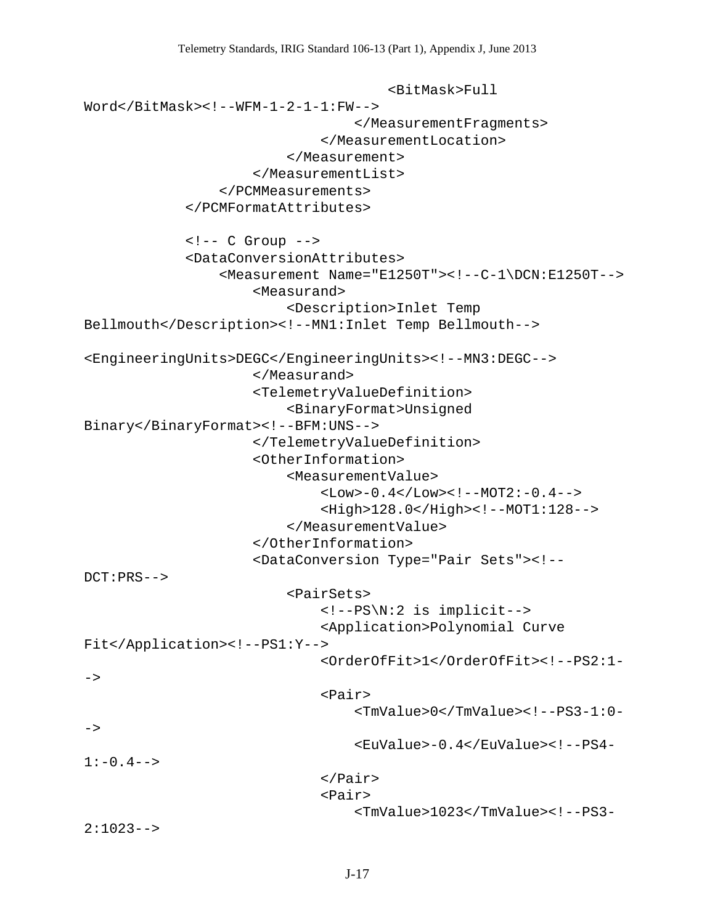```
 <BitMask>Full 
Word</BitMask><!--WFM-1-2-1-1:FW-->
                                   </MeasurementFragments>
                              </MeasurementLocation>
                          </Measurement>
                      </MeasurementList>
                  </PCMMeasurements>
             </PCMFormatAttributes>
            \langle -- \cap Group -->
             <DataConversionAttributes>
                  <Measurement Name="E1250T"><!--C-1\DCN:E1250T-->
                      <Measurand>
                          <Description>Inlet Temp 
Bellmouth</Description><!--MN1:Inlet Temp Bellmouth-->
<EngineeringUnits>DEGC</EngineeringUnits><!--MN3:DEGC-->
                      </Measurand>
                      <TelemetryValueDefinition>
                          <BinaryFormat>Unsigned 
Binary</BinaryFormat><!--BFM:UNS-->
                      </TelemetryValueDefinition>
                     <OtherInformation>
                          <MeasurementValue>
                             <Low>-0.4</Low><!--MOT2:-0.4-->
                              <High>128.0</High><!--MOT1:128-->
                          </MeasurementValue>
                      </OtherInformation>
                     <DataConversion Type="Pair Sets"><!--
DCT:PRS-->
                          <PairSets>
                              <!--PS\N:2 is implicit-->
                              <Application>Polynomial Curve 
Fit</Application><!--PS1:Y-->
                              <OrderOfFit>1</OrderOfFit><!--PS2:1-
\rightarrow <Pair>
                                   <TmValue>0</TmValue><!--PS3-1:0-
\rightarrow <EuValue>-0.4</EuValue><!--PS4-
1:-0.4-- </Pair>
 <Pair>
                                   <TmValue>1023</TmValue><!--PS3-
2:1023--
```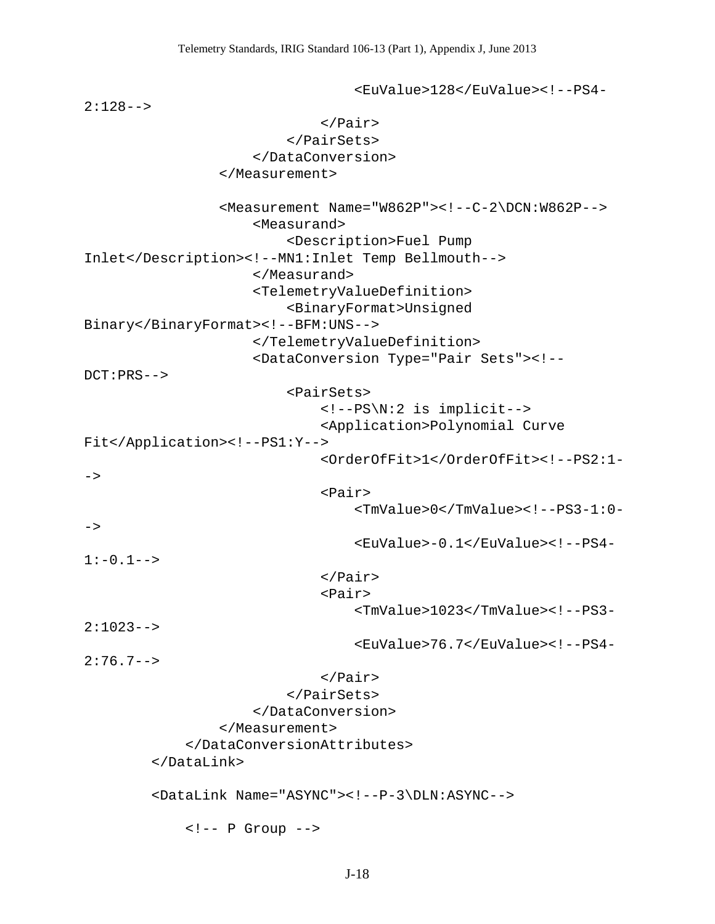<EuValue>128</EuValue><!--PS4-  $2:128--$  </Pair> </PairSets> </DataConversion> </Measurement> <Measurement Name="W862P"><!--C-2\DCN:W862P--> <Measurand> <Description>Fuel Pump Inlet</Description><!--MN1:Inlet Temp Bellmouth--> </Measurand> <TelemetryValueDefinition> <BinaryFormat>Unsigned Binary</BinaryFormat><!--BFM:UNS--> </TelemetryValueDefinition> <DataConversion Type="Pair Sets"><!-- DCT:PRS--> <PairSets> <!--PS\N:2 is implicit--> <Application>Polynomial Curve Fit</Application><!--PS1:Y--> <OrderOfFit>1</OrderOfFit><!--PS2:1-  $->$  <Pair> <TmValue>0</TmValue><!--PS3-1:0-  $->$  <EuValue>-0.1</EuValue><!--PS4-  $1:-0.1--$  </Pair> <Pair> <TmValue>1023</TmValue><!--PS3- 2:1023--> <EuValue>76.7</EuValue><!--PS4-  $2:76.7--$  </Pair> </PairSets> </DataConversion> </Measurement> </DataConversionAttributes> </DataLink> <DataLink Name="ASYNC"><!--P-3\DLN:ASYNC-->  $\langle$  :-- P Group -->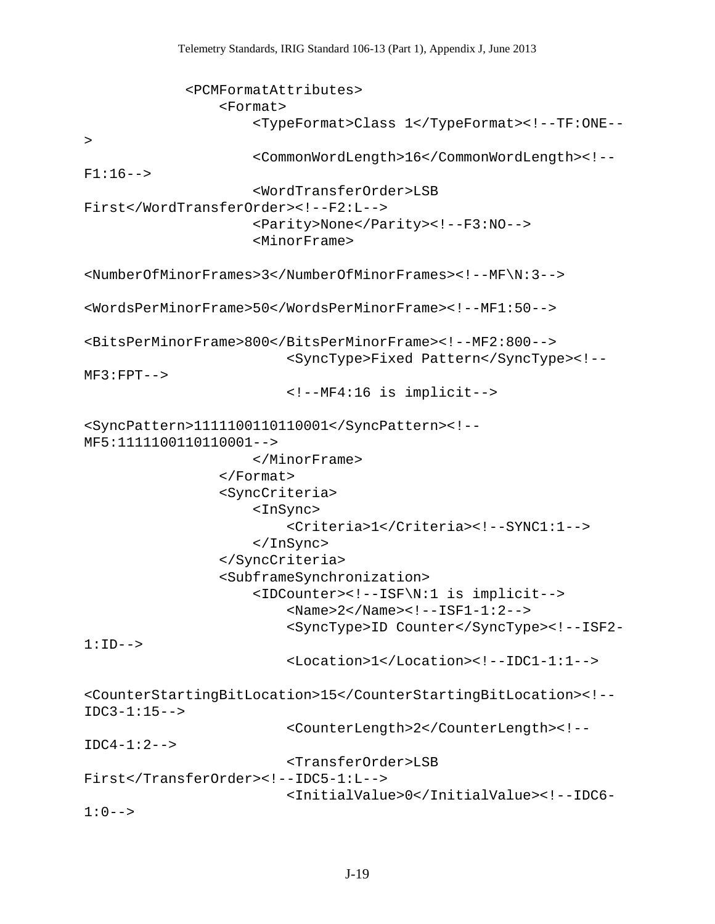```
 <PCMFormatAttributes>
                 <Format>
                      <TypeFormat>Class 1</TypeFormat><!--TF:ONE--
\,> <CommonWordLength>16</CommonWordLength><!--
F1:16-->
                      <WordTransferOrder>LSB 
First</WordTransferOrder><!--F2:L-->
                      <Parity>None</Parity><!--F3:NO-->
                      <MinorFrame>
<NumberOfMinorFrames>3</NumberOfMinorFrames><!--MF\N:3-->
<WordsPerMinorFrame>50</WordsPerMinorFrame><!--MF1:50-->
<BitsPerMinorFrame>800</BitsPerMinorFrame><!--MF2:800-->
                          <SyncType>Fixed Pattern</SyncType><!--
MF3:FPT-- <!--MF4:16 is implicit-->
<SyncPattern>1111100110110001</SyncPattern><!--
MF5:1111100110110001-->
                     </MinorFrame>
                 </Format>
                 <SyncCriteria>
                      <InSync>
                          <Criteria>1</Criteria><!--SYNC1:1-->
                      </InSync>
                 </SyncCriteria>
                 <SubframeSynchronization>
                      <IDCounter><!--ISF\N:1 is implicit-->
                          <Name>2</Name><!--ISF1-1:2-->
                          <SyncType>ID Counter</SyncType><!--ISF2-
1:TD-- <Location>1</Location><!--IDC1-1:1-->
<CounterStartingBitLocation>15</CounterStartingBitLocation><!--
IDC3-1:15-->
                          <CounterLength>2</CounterLength><!--
IDC4-1:2-- <TransferOrder>LSB 
First</TransferOrder><!--IDC5-1:L-->
                          <InitialValue>0</InitialValue><!--IDC6-
1:0--
```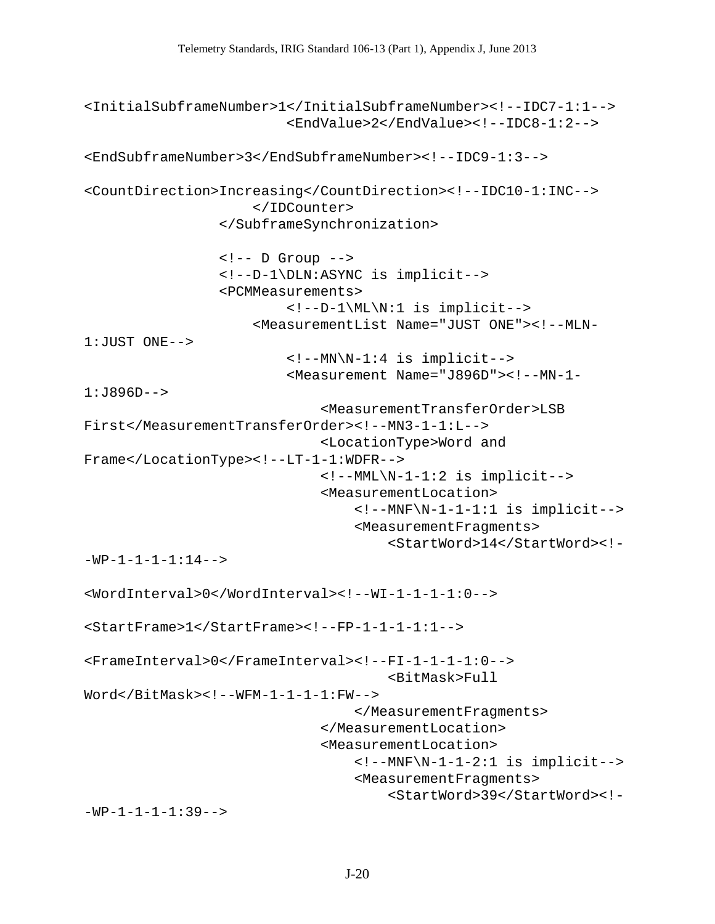```
<InitialSubframeNumber>1</InitialSubframeNumber><!--IDC7-1:1-->
                          <EndValue>2</EndValue><!--IDC8-1:2-->
<EndSubframeNumber>3</EndSubframeNumber><!--IDC9-1:3-->
<CountDirection>Increasing</CountDirection><!--IDC10-1:INC-->
                      </IDCounter>
                 </SubframeSynchronization>
                \langle :-- D Group -->
                 <!--D-1\DLN:ASYNC is implicit-->
                 <PCMMeasurements>
                          <!--D-1\ML\N:1 is implicit-->
                      <MeasurementList Name="JUST ONE"><!--MLN-
1:JUST ONE-->
                          <!--MN\N-1:4 is implicit-->
                          <Measurement Name="J896D"><!--MN-1-
1:J896D-->
                              <MeasurementTransferOrder>LSB 
First</MeasurementTransferOrder><!--MN3-1-1:L-->
                              <LocationType>Word and 
Frame</LocationType><!--LT-1-1:WDFR-->
                              <!--MML\N-1-1:2 is implicit-->
                              <MeasurementLocation>
                                  <!--MNF\N-1-1-1:1 is implicit-->
                                  <MeasurementFragments>
                                      <StartWord>14</StartWord><!-
-WP-1-1-1-1:14--><WordInterval>0</WordInterval><!--WI-1-1-1-1:0-->
<StartFrame>1</StartFrame><!--FP-1-1-1-1:1-->
<FrameInterval>0</FrameInterval><!--FI-1-1-1-1:0-->
                                      <BitMask>Full 
Word</BitMask><!--WFM-1-1-1-1:FW-->
                                  </MeasurementFragments>
                              </MeasurementLocation>
                              <MeasurementLocation>
                                  <!--MNF\N-1-1-2:1 is implicit-->
                                  <MeasurementFragments>
                                      <StartWord>39</StartWord><!-
```
 $-WP-1-1-1-1:39--$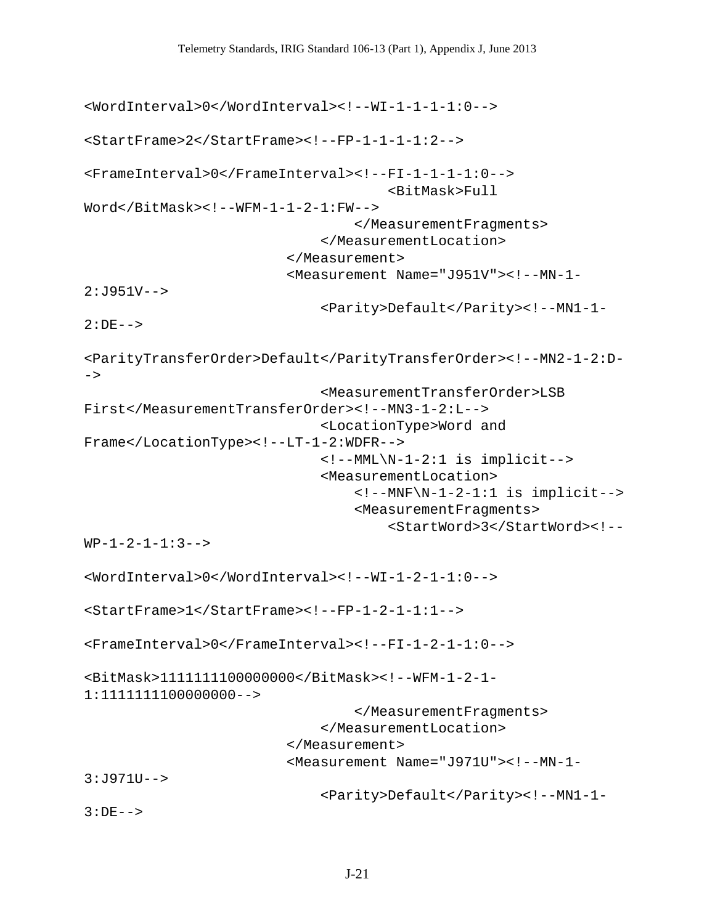```
<WordInterval>0</WordInterval><!--WI-1-1-1-1:0-->
<StartFrame>2</StartFrame><!--FP-1-1-1-1:2-->
<FrameInterval>0</FrameInterval><!--FI-1-1-1-1:0-->
                                      <BitMask>Full 
Word</BitMask><!--WFM-1-1-2-1:FW-->
                                  </MeasurementFragments>
                              </MeasurementLocation>
                          </Measurement>
                          <Measurement Name="J951V"><!--MN-1-
2:J951V-- <Parity>Default</Parity><!--MN1-1-
2:DE--<ParityTransferOrder>Default</ParityTransferOrder><!--MN2-1-2:D-
\rightarrow <MeasurementTransferOrder>LSB 
First</MeasurementTransferOrder><!--MN3-1-2:L-->
                              <LocationType>Word and 
Frame</LocationType><!--LT-1-2:WDFR-->
                              <!--MML\N-1-2:1 is implicit-->
                              <MeasurementLocation>
                                  <!--MNF\N-1-2-1:1 is implicit-->
                                  <MeasurementFragments>
                                      <StartWord>3</StartWord><!--
WP-1-2-1-1:3--<WordInterval>0</WordInterval><!--WI-1-2-1-1:0-->
<StartFrame>1</StartFrame><!--FP-1-2-1-1:1-->
<FrameInterval>0</FrameInterval><!--FI-1-2-1-1:0-->
<BitMask>1111111100000000</BitMask><!--WFM-1-2-1-
1:1111111100000000-->
                                  </MeasurementFragments>
                              </MeasurementLocation>
                          </Measurement>
                         <Measurement Name="J971U"><!--MN-1-
3:J971U-->
                              <Parity>Default</Parity><!--MN1-1-
3:DE--
```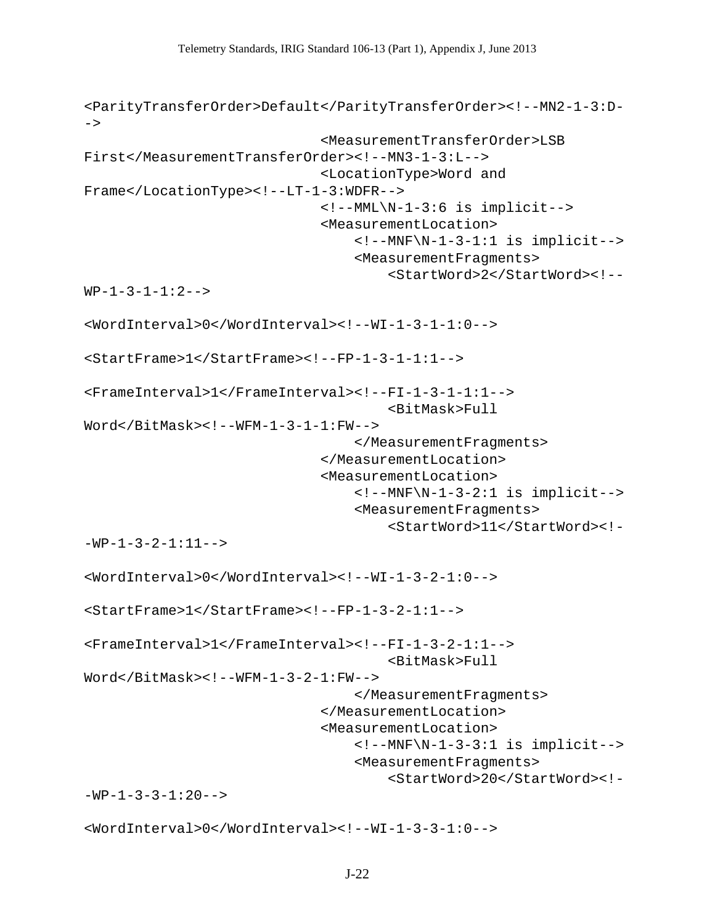```
<ParityTransferOrder>Default</ParityTransferOrder><!--MN2-1-3:D-
\rightarrow <MeasurementTransferOrder>LSB 
First</MeasurementTransferOrder><!--MN3-1-3:L-->
                              <LocationType>Word and 
Frame</LocationType><!--LT-1-3:WDFR-->
                              <!--MML\N-1-3:6 is implicit-->
                              <MeasurementLocation>
                                  <!--MNF\N-1-3-1:1 is implicit-->
                                  <MeasurementFragments>
                                      <StartWord>2</StartWord><!--
WP-1-3-1-1:2--<WordInterval>0</WordInterval><!--WI-1-3-1-1:0-->
<StartFrame>1</StartFrame><!--FP-1-3-1-1:1-->
<FrameInterval>1</FrameInterval><!--FI-1-3-1-1:1-->
                                      <BitMask>Full 
Word</BitMask><!--WFM-1-3-1-1:FW-->
                                  </MeasurementFragments>
                              </MeasurementLocation>
                              <MeasurementLocation>
                                  <!--MNF\N-1-3-2:1 is implicit-->
                                  <MeasurementFragments>
                                      <StartWord>11</StartWord><!-
-WP-1-3-2-1:11--<WordInterval>0</WordInterval><!--WI-1-3-2-1:0-->
<StartFrame>1</StartFrame><!--FP-1-3-2-1:1-->
<FrameInterval>1</FrameInterval><!--FI-1-3-2-1:1-->
                                      <BitMask>Full 
Word</BitMask><!--WFM-1-3-2-1:FW-->
                                  </MeasurementFragments>
                              </MeasurementLocation>
                              <MeasurementLocation>
                                  <!--MNF\N-1-3-3:1 is implicit-->
                                  <MeasurementFragments>
                                      <StartWord>20</StartWord><!-
-WP-1-3-3-1:20--
```
<WordInterval>0</WordInterval><!--WI-1-3-3-1:0-->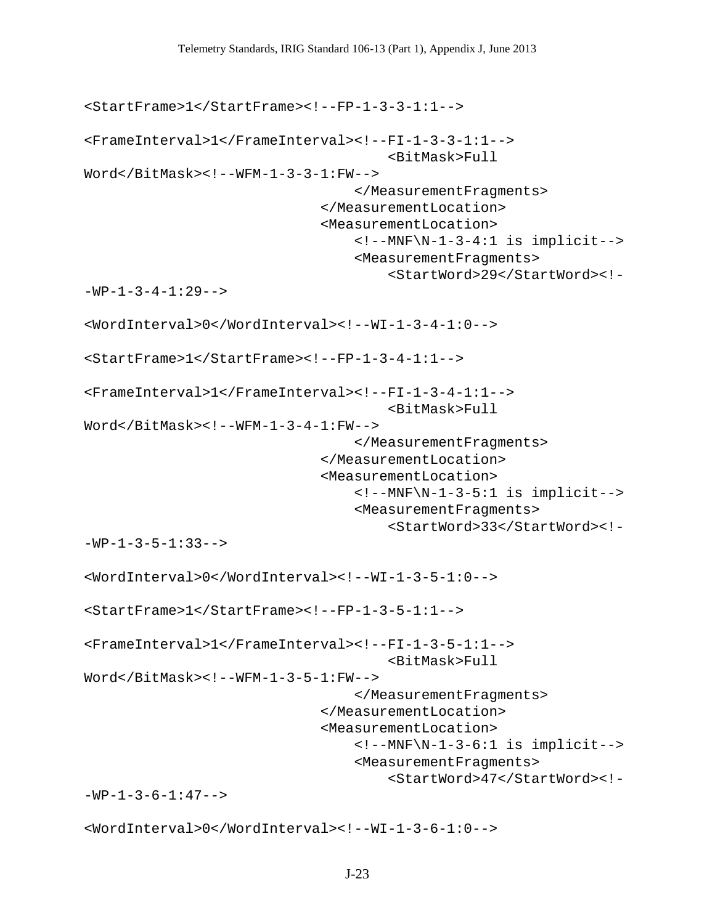```
<StartFrame>1</StartFrame><!--FP-1-3-3-1:1-->
<FrameInterval>1</FrameInterval><!--FI-1-3-3-1:1-->
                                      <BitMask>Full 
Word</BitMask><!--WFM-1-3-3-1:FW-->
                                  </MeasurementFragments>
                              </MeasurementLocation>
                              <MeasurementLocation>
                                  <!--MNF\N-1-3-4:1 is implicit-->
                                  <MeasurementFragments>
                                      <StartWord>29</StartWord><!-
-WP-1-3-4-1:29--<WordInterval>0</WordInterval><!--WI-1-3-4-1:0-->
<StartFrame>1</StartFrame><!--FP-1-3-4-1:1-->
<FrameInterval>1</FrameInterval><!--FI-1-3-4-1:1-->
                                      <BitMask>Full 
Word</BitMask><!--WFM-1-3-4-1:FW-->
                                  </MeasurementFragments>
                              </MeasurementLocation>
                              <MeasurementLocation>
                                  <!--MNF\N-1-3-5:1 is implicit-->
                                  <MeasurementFragments>
                                      <StartWord>33</StartWord><!-
-WP-1-3-5-1:33--<WordInterval>0</WordInterval><!--WI-1-3-5-1:0-->
<StartFrame>1</StartFrame><!--FP-1-3-5-1:1-->
<FrameInterval>1</FrameInterval><!--FI-1-3-5-1:1-->
                                      <BitMask>Full 
Word</BitMask><!--WFM-1-3-5-1:FW-->
                                  </MeasurementFragments>
                              </MeasurementLocation>
                              <MeasurementLocation>
                                  <!--MNF\N-1-3-6:1 is implicit-->
                                  <MeasurementFragments>
                                      <StartWord>47</StartWord><!-
-WP-1-3-6-1:47-->
```
<WordInterval>0</WordInterval><!--WI-1-3-6-1:0-->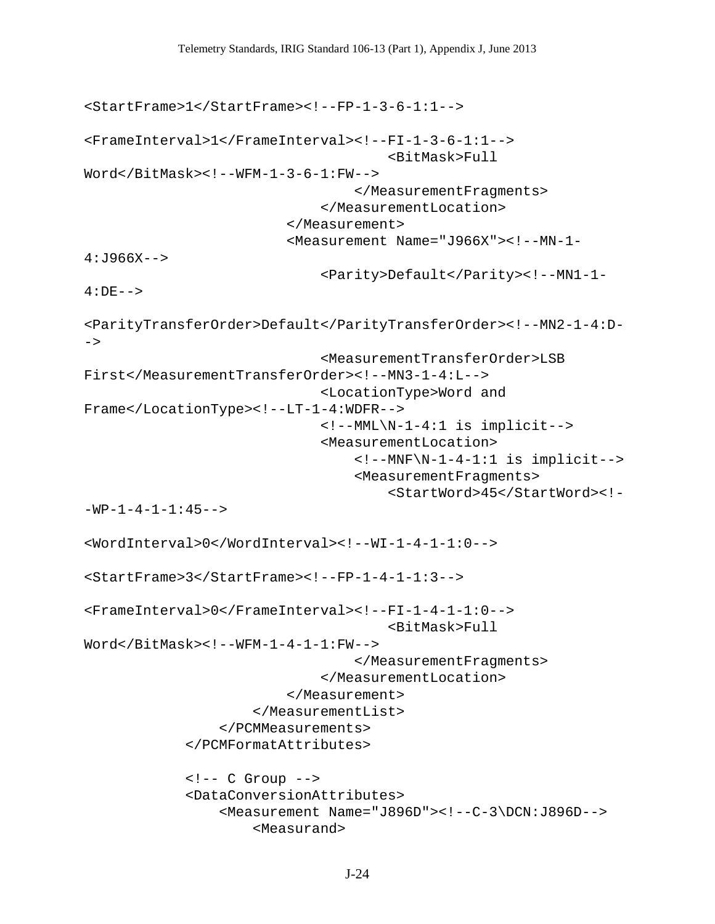```
<StartFrame>1</StartFrame><!--FP-1-3-6-1:1-->
<FrameInterval>1</FrameInterval><!--FI-1-3-6-1:1-->
                                       <BitMask>Full 
Word</BitMask><!--WFM-1-3-6-1:FW-->
                                   </MeasurementFragments>
                              </MeasurementLocation>
                          </Measurement>
                         <Measurement Name="J966X"><!--MN-1-
4:J966X-->
                              <Parity>Default</Parity><!--MN1-1-
4:DF--<ParityTransferOrder>Default</ParityTransferOrder><!--MN2-1-4:D-
\rightarrow <MeasurementTransferOrder>LSB 
First</MeasurementTransferOrder><!--MN3-1-4:L-->
                              <LocationType>Word and 
Frame</LocationType><!--LT-1-4:WDFR-->
                              <!--MML\N-1-4:1 is implicit-->
                              <MeasurementLocation>
                                   <!--MNF\N-1-4-1:1 is implicit-->
                                   <MeasurementFragments>
                                       <StartWord>45</StartWord><!-
-WP-1-4-1-1:45--<WordInterval>0</WordInterval><!--WI-1-4-1-1:0-->
<StartFrame>3</StartFrame><!--FP-1-4-1-1:3-->
<FrameInterval>0</FrameInterval><!--FI-1-4-1-1:0-->
                                       <BitMask>Full 
Word</BitMask><!--WFM-1-4-1-1:FW-->
                                   </MeasurementFragments>
                              </MeasurementLocation>
                          </Measurement>
                      </MeasurementList>
                  </PCMMeasurements>
             </PCMFormatAttributes>
            \langle -- \cap Group -->
             <DataConversionAttributes>
                  <Measurement Name="J896D"><!--C-3\DCN:J896D-->
                      <Measurand>
```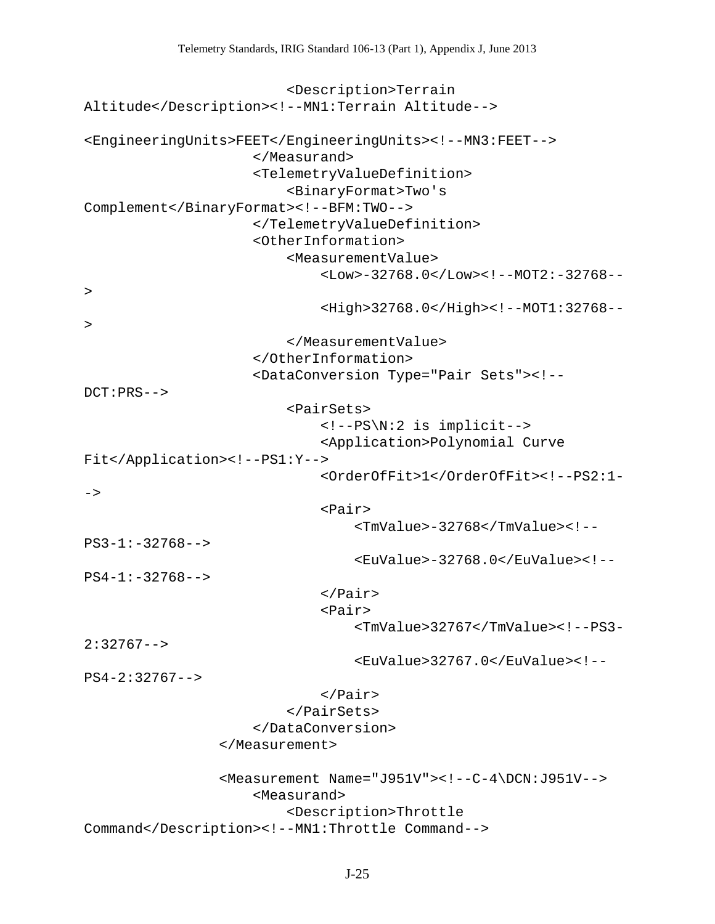```
 <Description>Terrain 
Altitude</Description><!--MN1:Terrain Altitude-->
<EngineeringUnits>FEET</EngineeringUnits><!--MN3:FEET-->
                     </Measurand>
                     <TelemetryValueDefinition>
                          <BinaryFormat>Two's 
Complement</BinaryFormat><!--BFM:TWO-->
                     </TelemetryValueDefinition>
                    <OtherInformation>
                         <MeasurementValue>
                              <Low>-32768.0</Low><!--MOT2:-32768--
>
                              <High>32768.0</High><!--MOT1:32768--
>
                          </MeasurementValue>
                     </OtherInformation>
                     <DataConversion Type="Pair Sets"><!--
DCT:PRS-->
                          <PairSets>
                              <!--PS\N:2 is implicit-->
                              <Application>Polynomial Curve 
Fit</Application><!--PS1:Y-->
                              <OrderOfFit>1</OrderOfFit><!--PS2:1-
- > <Pair>
                                  <TmValue>-32768</TmValue><!--
PS3-1:-32768-->
                                  <EuValue>-32768.0</EuValue><!--
PS4-1:-32768-->
                              </Pair>
                              <Pair>
                                  <TmValue>32767</TmValue><!--PS3-
2:32767-->
                                  <EuValue>32767.0</EuValue><!--
PS4-2:32767-->
                              </Pair>
                         </PairSets>
                     </DataConversion>
                 </Measurement>
                 <Measurement Name="J951V"><!--C-4\DCN:J951V-->
                     <Measurand>
                         <Description>Throttle 
Command</Description><!--MN1:Throttle Command-->
```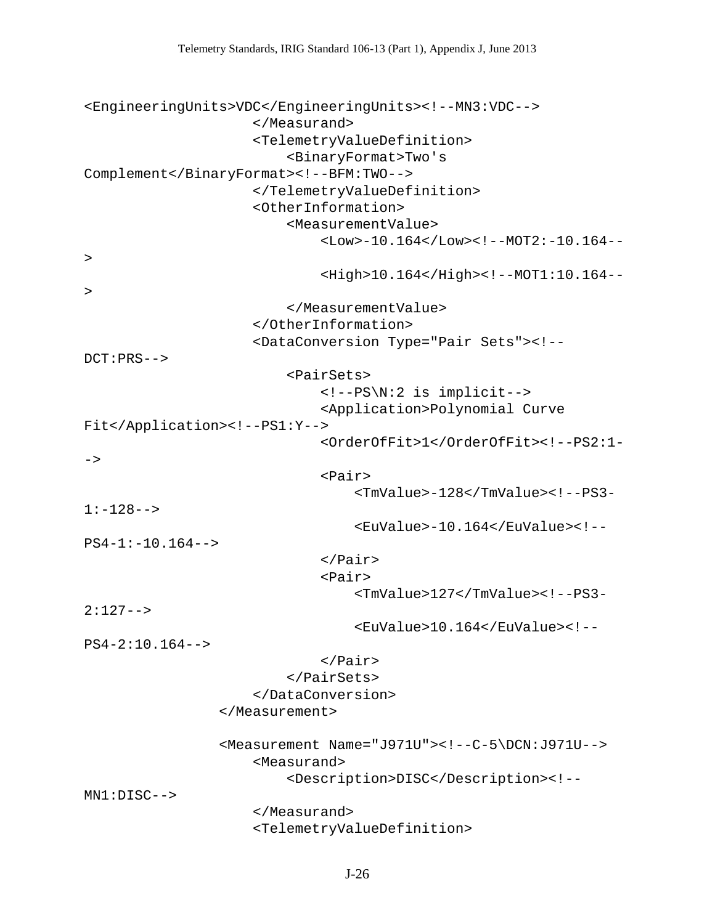```
<EngineeringUnits>VDC</EngineeringUnits><!--MN3:VDC-->
                      </Measurand>
                     <TelemetryValueDefinition>
                           <BinaryFormat>Two's 
Complement</BinaryFormat><!--BFM:TWO-->
                      </TelemetryValueDefinition>
                     <OtherInformation>
                           <MeasurementValue>
                               <Low>-10.164</Low><!--MOT2:-10.164--
>
                               <High>10.164</High><!--MOT1:10.164--
\rightarrow </MeasurementValue>
                      </OtherInformation>
                     <DataConversion Type="Pair Sets"><!--
DCT:PRS-->
                           <PairSets>
                               <!--PS\N:2 is implicit-->
                               <Application>Polynomial Curve 
Fit</Application><!--PS1:Y-->
                               <OrderOfFit>1</OrderOfFit><!--PS2:1-
\rightarrow <Pair>
                                   <TmValue>-128</TmValue><!--PS3-
1:-128-- <EuValue>-10.164</EuValue><!--
PS4-1:-10.164-->
                               </Pair>
                               <Pair>
                                   <TmValue>127</TmValue><!--PS3-
2:127-- <EuValue>10.164</EuValue><!--
PS4-2:10.164-->
                               </Pair>
                           </PairSets>
                      </DataConversion>
                  </Measurement>
                  <Measurement Name="J971U"><!--C-5\DCN:J971U-->
                      <Measurand>
                           <Description>DISC</Description><!--
MN1:DISC-->
                      </Measurand>
                     <TelemetryValueDefinition>
```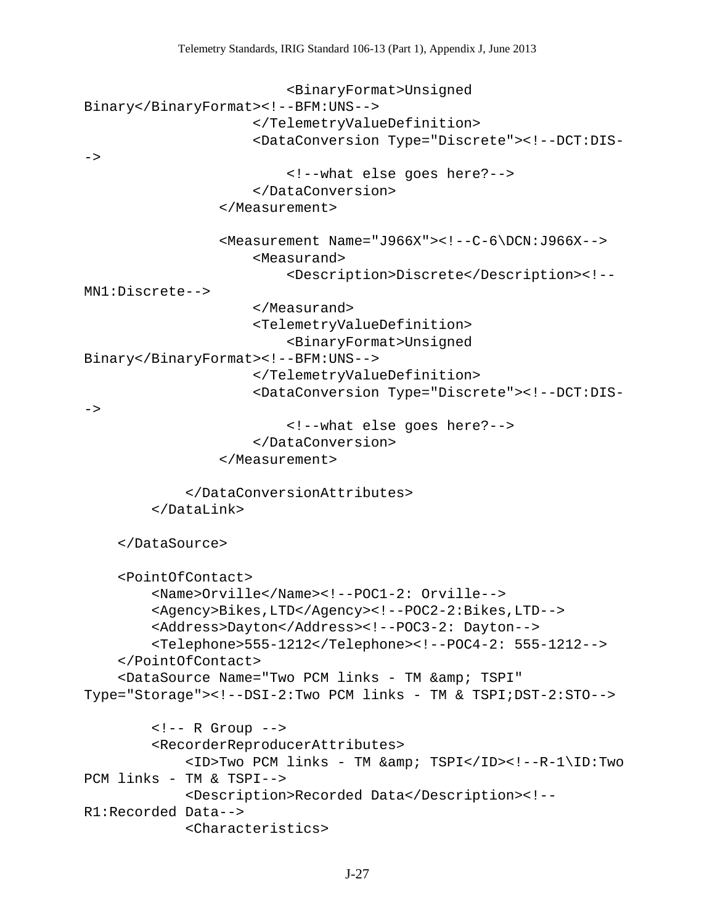```
 <BinaryFormat>Unsigned 
Binary</BinaryFormat><!--BFM:UNS-->
                      </TelemetryValueDefinition>
                     <DataConversion Type="Discrete"><!--DCT:DIS-
\rightarrow <!--what else goes here?-->
                      </DataConversion>
                  </Measurement>
                  <Measurement Name="J966X"><!--C-6\DCN:J966X-->
                      <Measurand>
                          <Description>Discrete</Description><!--
MN1:Discrete-->
                      </Measurand>
                     <TelemetryValueDefinition>
                          <BinaryFormat>Unsigned 
Binary</BinaryFormat><!--BFM:UNS-->
                      </TelemetryValueDefinition>
                     <DataConversion Type="Discrete"><!--DCT:DIS-
- > <!--what else goes here?-->
                      </DataConversion>
                  </Measurement>
              </DataConversionAttributes>
         </DataLink>
     </DataSource>
     <PointOfContact>
         <Name>Orville</Name><!--POC1-2: Orville-->
         <Agency>Bikes,LTD</Agency><!--POC2-2:Bikes,LTD-->
         <Address>Dayton</Address><!--POC3-2: Dayton-->
         <Telephone>555-1212</Telephone><!--POC4-2: 555-1212-->
     </PointOfContact>
    <DataSource Name="Two PCM links - TM & amp; TSPI"
Type="Storage"><!--DSI-2:Two PCM links - TM & TSPI;DST-2:STO-->
        \langle :-- R Group -->
         <RecorderReproducerAttributes>
            <ID>Two PCM links - TM & amp; TSPI</ID><!--R-1\ID:Two
PCM links - TM & TSPI-->
              <Description>Recorded Data</Description><!--
R1:Recorded Data-->
              <Characteristics>
```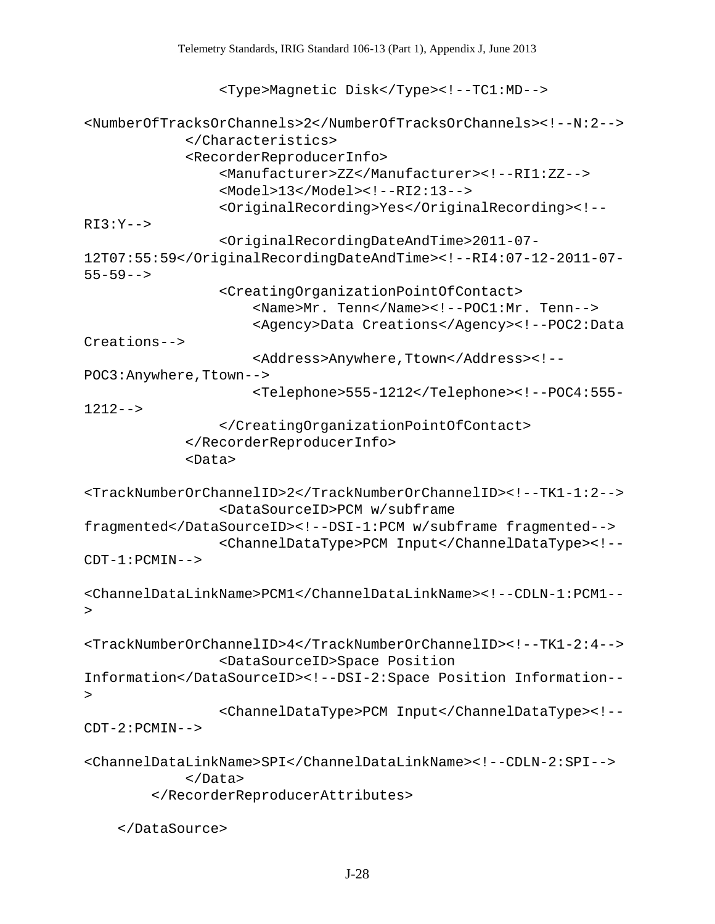<Type>Magnetic Disk</Type><!--TC1:MD-->

```
<NumberOfTracksOrChannels>2</NumberOfTracksOrChannels><!--N:2-->
             </Characteristics>
             <RecorderReproducerInfo>
                 <Manufacturer>ZZ</Manufacturer><!--RI1:ZZ-->
                 <Model>13</Model><!--RI2:13-->
                 <OriginalRecording>Yes</OriginalRecording><!--
RI3:Y-->
                 <OriginalRecordingDateAndTime>2011-07-
12T07:55:59</OriginalRecordingDateAndTime><!--RI4:07-12-2011-07-
55 - 59 - - <CreatingOrganizationPointOfContact>
                     <Name>Mr. Tenn</Name><!--POC1:Mr. Tenn-->
                     <Agency>Data Creations</Agency><!--POC2:Data 
Creations-->
                     <Address>Anywhere,Ttown</Address><!--
POC3:Anywhere,Ttown-->
                     <Telephone>555-1212</Telephone><!--POC4:555-
1212-->
                 </CreatingOrganizationPointOfContact>
             </RecorderReproducerInfo>
             <Data>
<TrackNumberOrChannelID>2</TrackNumberOrChannelID><!--TK1-1:2-->
                 <DataSourceID>PCM w/subframe 
fragmented</DataSourceID><!--DSI-1:PCM w/subframe fragmented-->
                 <ChannelDataType>PCM Input</ChannelDataType><!--
CDT-1:PCMIN-->
<ChannelDataLinkName>PCM1</ChannelDataLinkName><!--CDLN-1:PCM1--
>
<TrackNumberOrChannelID>4</TrackNumberOrChannelID><!--TK1-2:4-->
                 <DataSourceID>Space Position 
Information</DataSourceID><!--DSI-2:Space Position Information--
>
                 <ChannelDataType>PCM Input</ChannelDataType><!--
CDT-2:PCMIN-->
<ChannelDataLinkName>SPI</ChannelDataLinkName><!--CDLN-2:SPI-->
             </Data>
         </RecorderReproducerAttributes>
```

```
 </DataSource>
```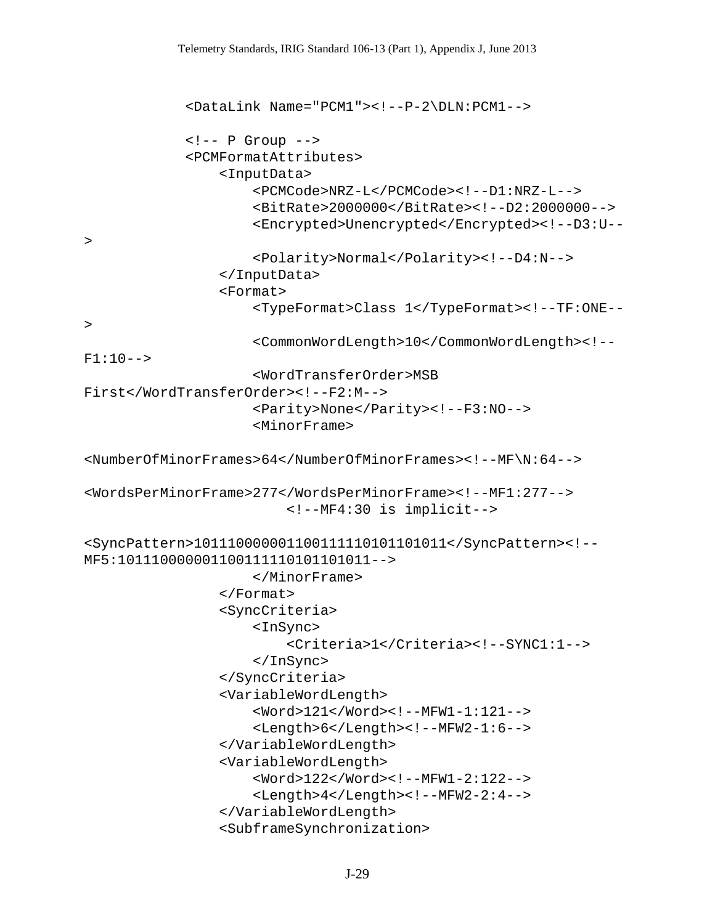```
 <DataLink Name="PCM1"><!--P-2\DLN:PCM1-->
            \leftarrow ! -- P Group -->
             <PCMFormatAttributes>
                  <InputData>
                      <PCMCode>NRZ-L</PCMCode><!--D1:NRZ-L-->
                      <BitRate>2000000</BitRate><!--D2:2000000-->
                      <Encrypted>Unencrypted</Encrypted><!--D3:U--
>
                      <Polarity>Normal</Polarity><!--D4:N-->
                  </InputData> 
                  <Format>
                      <TypeFormat>Class 1</TypeFormat><!--TF:ONE--
>
                      <CommonWordLength>10</CommonWordLength><!--
F1:10-->
                      <WordTransferOrder>MSB 
First</WordTransferOrder><!--F2:M-->
                      <Parity>None</Parity><!--F3:NO-->
                      <MinorFrame>
<NumberOfMinorFrames>64</NumberOfMinorFrames><!--MF\N:64-->
<WordsPerMinorFrame>277</WordsPerMinorFrame><!--MF1:277-->
                          <!--MF4:30 is implicit-->
<SyncPattern>101110000001100111110101101011</SyncPattern><!--
MF5:101110000001100111110101101011-->
                      </MinorFrame>
                  </Format>
                  <SyncCriteria>
                      <InSync>
                          <Criteria>1</Criteria><!--SYNC1:1-->
                      </InSync>
                  </SyncCriteria>
                  <VariableWordLength>
                      <Word>121</Word><!--MFW1-1:121-->
                      <Length>6</Length><!--MFW2-1:6-->
                  </VariableWordLength>
                  <VariableWordLength>
                      <Word>122</Word><!--MFW1-2:122-->
                      <Length>4</Length><!--MFW2-2:4-->
                  </VariableWordLength>
                  <SubframeSynchronization>
```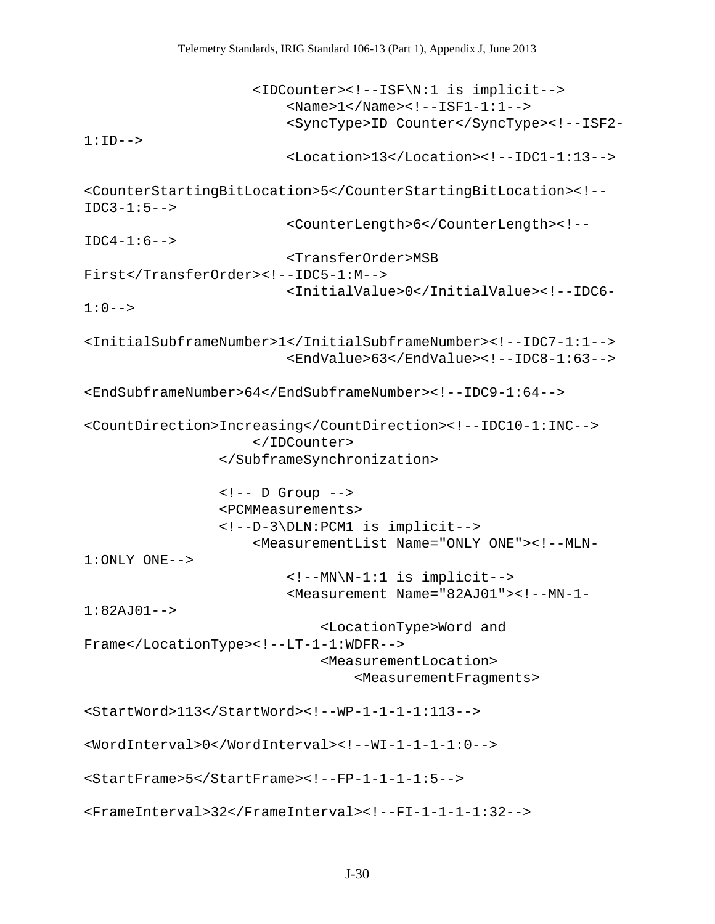```
 <IDCounter><!--ISF\N:1 is implicit-->
                         <Name>1</Name><!--ISF1-1:1-->
                         <SyncType>ID Counter</SyncType><!--ISF2-
1:ID-->
                         <Location>13</Location><!--IDC1-1:13-->
<CounterStartingBitLocation>5</CounterStartingBitLocation><!--
IDC3-1:5-- <CounterLength>6</CounterLength><!--
IDC4-1:6-- <TransferOrder>MSB 
First</TransferOrder><!--IDC5-1:M-->
                         <InitialValue>0</InitialValue><!--IDC6-
1:0--<InitialSubframeNumber>1</InitialSubframeNumber><!--IDC7-1:1-->
                         <EndValue>63</EndValue><!--IDC8-1:63-->
<EndSubframeNumber>64</EndSubframeNumber><!--IDC9-1:64-->
<CountDirection>Increasing</CountDirection><!--IDC10-1:INC-->
                     </IDCounter>
                 </SubframeSynchronization>
                 <!-- D Group -->
                 <PCMMeasurements>
                 <!--D-3\DLN:PCM1 is implicit-->
                     <MeasurementList Name="ONLY ONE"><!--MLN-
1:ONLY ONE-->
                         <!--MN\N-1:1 is implicit-->
                         <Measurement Name="82AJ01"><!--MN-1-
1:82AJ01-->
                              <LocationType>Word and 
Frame</LocationType><!--LT-1-1:WDFR-->
                              <MeasurementLocation>
                                  <MeasurementFragments>
<StartWord>113</StartWord><!--WP-1-1-1-1:113-->
<WordInterval>0</WordInterval><!--WI-1-1-1-1:0-->
<StartFrame>5</StartFrame><!--FP-1-1-1-1:5-->
<FrameInterval>32</FrameInterval><!--FI-1-1-1-1:32-->
```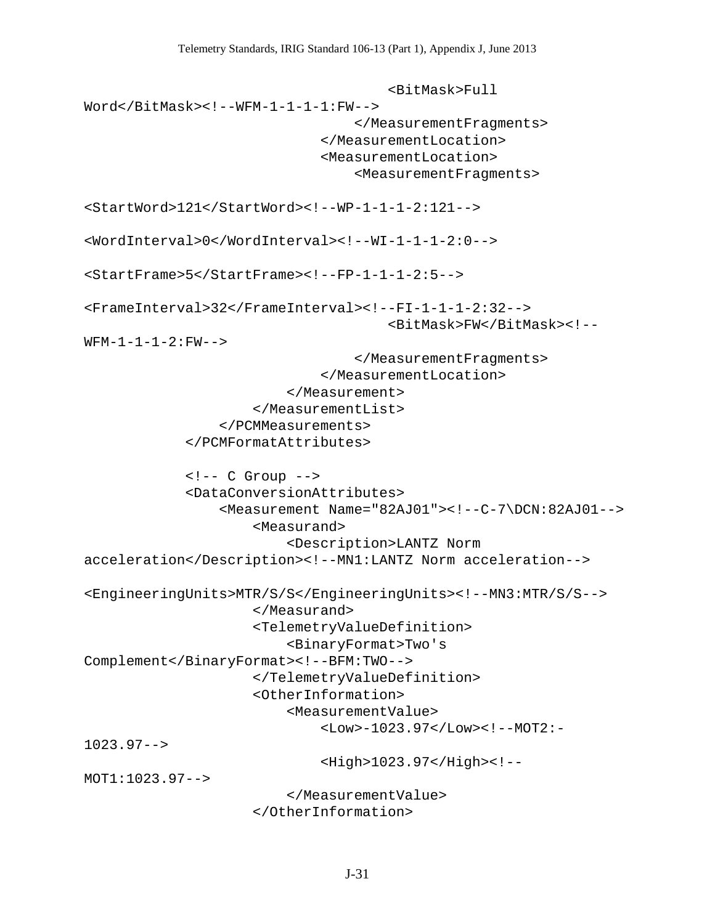```
 <BitMask>Full 
Word</BitMask><!--WFM-1-1-1-1:FW-->
                                   </MeasurementFragments>
                              </MeasurementLocation>
                              <MeasurementLocation>
                                   <MeasurementFragments>
<StartWord>121</StartWord><!--WP-1-1-1-2:121-->
<WordInterval>0</WordInterval><!--WI-1-1-1-2:0-->
<StartFrame>5</StartFrame><!--FP-1-1-1-2:5-->
<FrameInterval>32</FrameInterval><!--FI-1-1-1-2:32-->
                                       <BitMask>FW</BitMask><!--
WFM-1-1-1-2:FW-- </MeasurementFragments>
                              </MeasurementLocation>
                          </Measurement>
                      </MeasurementList>
                  </PCMMeasurements>
             </PCMFormatAttributes>
            \langle -- C Group -->
             <DataConversionAttributes>
                  <Measurement Name="82AJ01"><!--C-7\DCN:82AJ01-->
                      <Measurand>
                          <Description>LANTZ Norm 
acceleration</Description><!--MN1:LANTZ Norm acceleration-->
<EngineeringUnits>MTR/S/S</EngineeringUnits><!--MN3:MTR/S/S-->
                      </Measurand>
                     <TelemetryValueDefinition>
                          <BinaryFormat>Two's 
Complement</BinaryFormat><!--BFM:TWO-->
                      </TelemetryValueDefinition>
                     <OtherInformation>
                          <MeasurementValue>
                             <Low>-1023.97</Low><!--MOT2:-
1023.97-->
                              <High>1023.97</High><!--
MOT1:1023.97-->
                          </MeasurementValue>
                      </OtherInformation>
```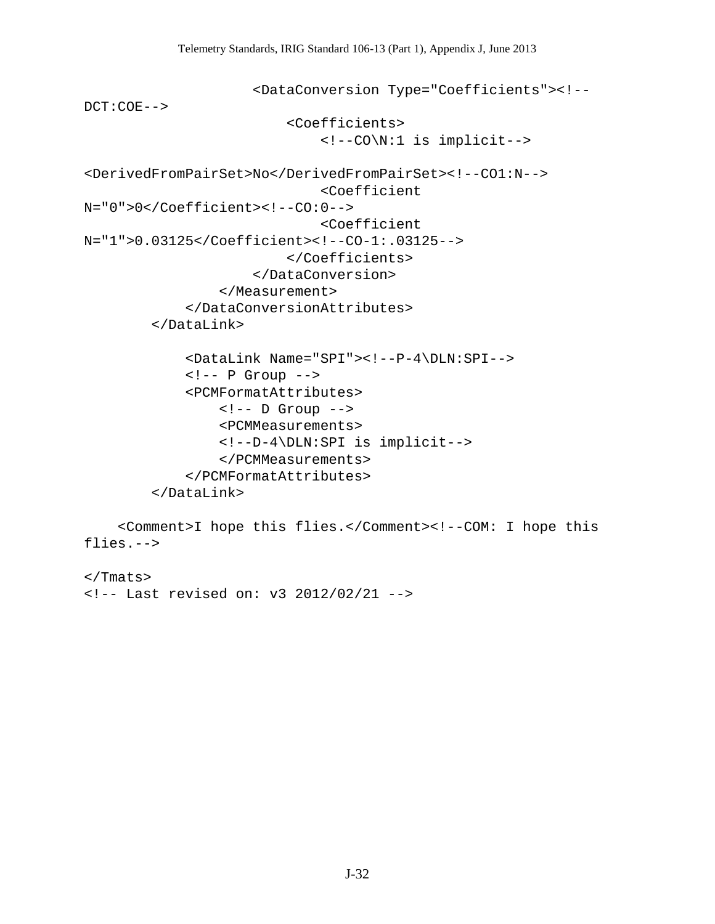```
 <DataConversion Type="Coefficients"><!--
DCT:COE-->
                           <Coefficients>
                                <!--CO\N:1 is implicit-->
<DerivedFromPairSet>No</DerivedFromPairSet><!--CO1:N-->
                                <Coefficient 
N = "0" > 0 < / Coefficients > < ! --CO: 0 -> <Coefficient 
N="1">0.03125</Coefficient><!--CO-1:.03125-->
                           </Coefficients>
                       </DataConversion>
                  </Measurement>
              </DataConversionAttributes>
          </DataLink>
              <DataLink Name="SPI"><!--P-4\DLN:SPI-->
             \langle !-- P Group -->
              <PCMFormatAttributes>
                 \langle :-- D Group -->
                  <PCMMeasurements>
                  <!--D-4\DLN:SPI is implicit-->
                  </PCMMeasurements>
              </PCMFormatAttributes>
          </DataLink>
```
 <Comment>I hope this flies.</Comment><!--COM: I hope this flies.-->

</Tmats> <!-- Last revised on: v3 2012/02/21 -->